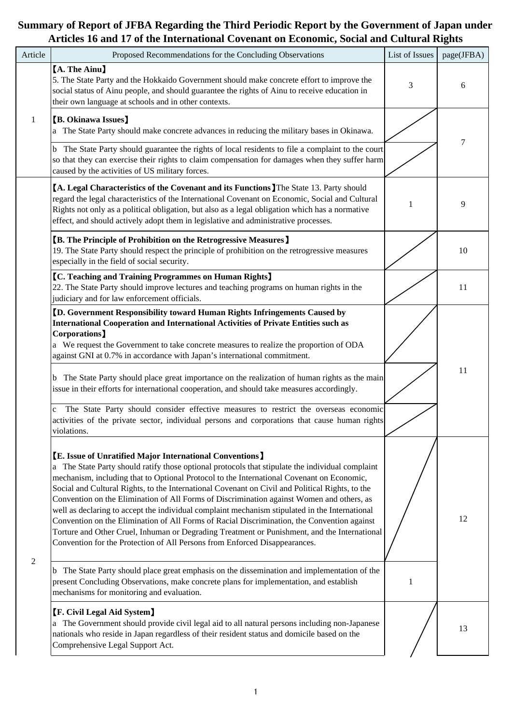| Article        | Proposed Recommendations for the Concluding Observations                                                                                                                                                                                                                                                                                                                                                                                                                                                                                                                                                                                                                                                                                                                                                                                                                                                                                                                                                                                  | List of Issues | page(JFBA) |
|----------------|-------------------------------------------------------------------------------------------------------------------------------------------------------------------------------------------------------------------------------------------------------------------------------------------------------------------------------------------------------------------------------------------------------------------------------------------------------------------------------------------------------------------------------------------------------------------------------------------------------------------------------------------------------------------------------------------------------------------------------------------------------------------------------------------------------------------------------------------------------------------------------------------------------------------------------------------------------------------------------------------------------------------------------------------|----------------|------------|
|                | <b>A. The Ainu</b><br>5. The State Party and the Hokkaido Government should make concrete effort to improve the<br>social status of Ainu people, and should guarantee the rights of Ainu to receive education in<br>their own language at schools and in other contexts.                                                                                                                                                                                                                                                                                                                                                                                                                                                                                                                                                                                                                                                                                                                                                                  | 3              | 6          |
| $\mathbf{1}$   | <b>[B. Okinawa Issues]</b><br>a The State Party should make concrete advances in reducing the military bases in Okinawa.<br>b The State Party should guarantee the rights of local residents to file a complaint to the court<br>so that they can exercise their rights to claim compensation for damages when they suffer harm<br>caused by the activities of US military forces.                                                                                                                                                                                                                                                                                                                                                                                                                                                                                                                                                                                                                                                        |                | 7          |
|                | [A. Legal Characteristics of the Covenant and its Functions] The State 13. Party should<br>regard the legal characteristics of the International Covenant on Economic, Social and Cultural<br>Rights not only as a political obligation, but also as a legal obligation which has a normative<br>effect, and should actively adopt them in legislative and administrative processes.                                                                                                                                                                                                                                                                                                                                                                                                                                                                                                                                                                                                                                                      |                | 9          |
|                | <b>[B. The Principle of Prohibition on the Retrogressive Measures]</b><br>19. The State Party should respect the principle of prohibition on the retrogressive measures<br>especially in the field of social security.                                                                                                                                                                                                                                                                                                                                                                                                                                                                                                                                                                                                                                                                                                                                                                                                                    |                | 10         |
|                | <b>[C. Teaching and Training Programmes on Human Rights]</b><br>22. The State Party should improve lectures and teaching programs on human rights in the<br>judiciary and for law enforcement officials.                                                                                                                                                                                                                                                                                                                                                                                                                                                                                                                                                                                                                                                                                                                                                                                                                                  |                | 11         |
|                | <b>[D. Government Responsibility toward Human Rights Infringements Caused by</b><br>International Cooperation and International Activities of Private Entities such as<br>Corporations]<br>a We request the Government to take concrete measures to realize the proportion of ODA<br>against GNI at 0.7% in accordance with Japan's international commitment.<br>b The State Party should place great importance on the realization of human rights as the main<br>issue in their efforts for international cooperation, and should take measures accordingly.<br>The State Party should consider effective measures to restrict the overseas economic<br>c<br>activities of the private sector, individual persons and corporations that cause human rights<br>violations.                                                                                                                                                                                                                                                               |                | 11         |
| $\overline{2}$ | <b>[E. Issue of Unratified Major International Conventions]</b><br>a The State Party should ratify those optional protocols that stipulate the individual complaint<br>mechanism, including that to Optional Protocol to the International Covenant on Economic,<br>Social and Cultural Rights, to the International Covenant on Civil and Political Rights, to the<br>Convention on the Elimination of All Forms of Discrimination against Women and others, as<br>well as declaring to accept the individual complaint mechanism stipulated in the International<br>Convention on the Elimination of All Forms of Racial Discrimination, the Convention against<br>Torture and Other Cruel, Inhuman or Degrading Treatment or Punishment, and the International<br>Convention for the Protection of All Persons from Enforced Disappearances.<br>b The State Party should place great emphasis on the dissemination and implementation of the<br>present Concluding Observations, make concrete plans for implementation, and establish | 1              | 12         |
|                | mechanisms for monitoring and evaluation.<br><b>[F. Civil Legal Aid System]</b><br>a The Government should provide civil legal aid to all natural persons including non-Japanese<br>nationals who reside in Japan regardless of their resident status and domicile based on the<br>Comprehensive Legal Support Act.                                                                                                                                                                                                                                                                                                                                                                                                                                                                                                                                                                                                                                                                                                                       |                | 13         |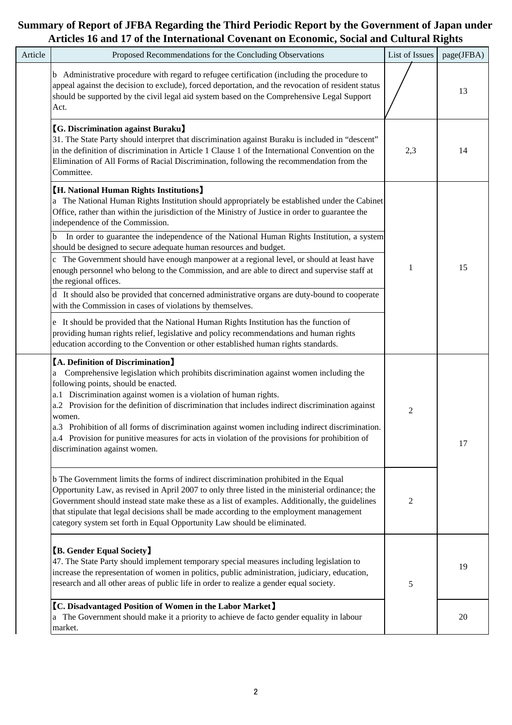| Article | Proposed Recommendations for the Concluding Observations                                                                                                                                                                                                                                                                                                                                                                                                                                                                                                                                              | List of Issues | page(JFBA) |
|---------|-------------------------------------------------------------------------------------------------------------------------------------------------------------------------------------------------------------------------------------------------------------------------------------------------------------------------------------------------------------------------------------------------------------------------------------------------------------------------------------------------------------------------------------------------------------------------------------------------------|----------------|------------|
|         | b Administrative procedure with regard to refugee certification (including the procedure to<br>appeal against the decision to exclude), forced deportation, and the revocation of resident status<br>should be supported by the civil legal aid system based on the Comprehensive Legal Support<br>Act.                                                                                                                                                                                                                                                                                               |                | 13         |
|         | <b>[G. Discrimination against Buraku]</b><br>31. The State Party should interpret that discrimination against Buraku is included in "descent"<br>in the definition of discrimination in Article 1 Clause 1 of the International Convention on the<br>Elimination of All Forms of Racial Discrimination, following the recommendation from the<br>Committee.                                                                                                                                                                                                                                           | 2,3            | 14         |
|         | <b>[H. National Human Rights Institutions]</b><br>a The National Human Rights Institution should appropriately be established under the Cabinet<br>Office, rather than within the jurisdiction of the Ministry of Justice in order to guarantee the<br>independence of the Commission.                                                                                                                                                                                                                                                                                                                |                |            |
|         | In order to guarantee the independence of the National Human Rights Institution, a system<br>b<br>should be designed to secure adequate human resources and budget.<br>c The Government should have enough manpower at a regional level, or should at least have<br>enough personnel who belong to the Commission, and are able to direct and supervise staff at<br>the regional offices.                                                                                                                                                                                                             | 1              | 15         |
|         | d It should also be provided that concerned administrative organs are duty-bound to cooperate<br>with the Commission in cases of violations by themselves.                                                                                                                                                                                                                                                                                                                                                                                                                                            |                |            |
|         | e It should be provided that the National Human Rights Institution has the function of<br>providing human rights relief, legislative and policy recommendations and human rights<br>education according to the Convention or other established human rights standards.                                                                                                                                                                                                                                                                                                                                |                |            |
|         | <b>[A. Definition of Discrimination]</b><br>Comprehensive legislation which prohibits discrimination against women including the<br>a<br>following points, should be enacted.<br>a.1 Discrimination against women is a violation of human rights.<br>a.2 Provision for the definition of discrimination that includes indirect discrimination against<br>women.<br>a.3 Prohibition of all forms of discrimination against women including indirect discrimination.<br>a.4 Provision for punitive measures for acts in violation of the provisions for prohibition of<br>discrimination against women. | $\overline{c}$ | 17         |
|         | b The Government limits the forms of indirect discrimination prohibited in the Equal<br>Opportunity Law, as revised in April 2007 to only three listed in the ministerial ordinance; the<br>Government should instead state make these as a list of examples. Additionally, the guidelines<br>that stipulate that legal decisions shall be made according to the employment management<br>category system set forth in Equal Opportunity Law should be eliminated.                                                                                                                                    | 2              |            |
|         | <b>[B. Gender Equal Society]</b><br>47. The State Party should implement temporary special measures including legislation to<br>increase the representation of women in politics, public administration, judiciary, education,<br>research and all other areas of public life in order to realize a gender equal society.                                                                                                                                                                                                                                                                             | 5              | 19         |
|         | <b>[C. Disadvantaged Position of Women in the Labor Market]</b><br>a The Government should make it a priority to achieve de facto gender equality in labour<br>market.                                                                                                                                                                                                                                                                                                                                                                                                                                |                | 20         |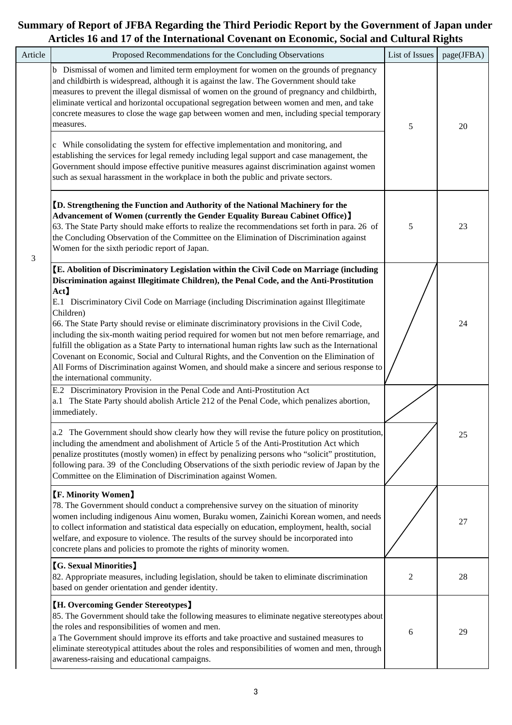| Article | Proposed Recommendations for the Concluding Observations                                                                                                                                                                                                                                                                                                                                                                                                                                                                                                                                                                                                                                                                                                                                                                                                            | List of Issues | page(JFBA) |
|---------|---------------------------------------------------------------------------------------------------------------------------------------------------------------------------------------------------------------------------------------------------------------------------------------------------------------------------------------------------------------------------------------------------------------------------------------------------------------------------------------------------------------------------------------------------------------------------------------------------------------------------------------------------------------------------------------------------------------------------------------------------------------------------------------------------------------------------------------------------------------------|----------------|------------|
|         | b Dismissal of women and limited term employment for women on the grounds of pregnancy<br>and childbirth is widespread, although it is against the law. The Government should take<br>measures to prevent the illegal dismissal of women on the ground of pregnancy and childbirth,<br>eliminate vertical and horizontal occupational segregation between women and men, and take<br>concrete measures to close the wage gap between women and men, including special temporary<br>measures.<br>c While consolidating the system for effective implementation and monitoring, and<br>establishing the services for legal remedy including legal support and case management, the<br>Government should impose effective punitive measures against discrimination against women<br>such as sexual harassment in the workplace in both the public and private sectors. | 5              | 20         |
|         | <b>ID.</b> Strengthening the Function and Authority of the National Machinery for the<br>Advancement of Women (currently the Gender Equality Bureau Cabinet Office) 】<br>63. The State Party should make efforts to realize the recommendations set forth in para. 26 of<br>the Concluding Observation of the Committee on the Elimination of Discrimination against<br>Women for the sixth periodic report of Japan.                                                                                                                                                                                                                                                                                                                                                                                                                                               | 5              | 23         |
|         | [E. Abolition of Discriminatory Legislation within the Civil Code on Marriage (including<br>Discrimination against Illegitimate Children), the Penal Code, and the Anti-Prostitution<br>Act)<br>E.1 Discriminatory Civil Code on Marriage (including Discrimination against Illegitimate<br>Children)<br>66. The State Party should revise or eliminate discriminatory provisions in the Civil Code,<br>including the six-month waiting period required for women but not men before remarriage, and<br>fulfill the obligation as a State Party to international human rights law such as the International<br>Covenant on Economic, Social and Cultural Rights, and the Convention on the Elimination of<br>All Forms of Discrimination against Women, and should make a sincere and serious response to<br>the international community.                           |                | 24         |
|         | E.2 Discriminatory Provision in the Penal Code and Anti-Prostitution Act<br>a.1 The State Party should abolish Article 212 of the Penal Code, which penalizes abortion,<br>immediately.<br>a.2 The Government should show clearly how they will revise the future policy on prostitution,<br>including the amendment and abolishment of Article 5 of the Anti-Prostitution Act which<br>penalize prostitutes (mostly women) in effect by penalizing persons who "solicit" prostitution,<br>following para. 39 of the Concluding Observations of the sixth periodic review of Japan by the<br>Committee on the Elimination of Discrimination against Women.                                                                                                                                                                                                          |                | 25         |
|         | <b>[F. Minority Women]</b><br>78. The Government should conduct a comprehensive survey on the situation of minority<br>women including indigenous Ainu women, Buraku women, Zainichi Korean women, and needs<br>to collect information and statistical data especially on education, employment, health, social<br>welfare, and exposure to violence. The results of the survey should be incorporated into<br>concrete plans and policies to promote the rights of minority women.                                                                                                                                                                                                                                                                                                                                                                                 |                | 27         |
|         | <b>[G. Sexual Minorities]</b><br>82. Appropriate measures, including legislation, should be taken to eliminate discrimination<br>based on gender orientation and gender identity.                                                                                                                                                                                                                                                                                                                                                                                                                                                                                                                                                                                                                                                                                   | 2              | 28         |
|         | <b>[H. Overcoming Gender Stereotypes]</b><br>85. The Government should take the following measures to eliminate negative stereotypes about<br>the roles and responsibilities of women and men.<br>a The Government should improve its efforts and take proactive and sustained measures to<br>eliminate stereotypical attitudes about the roles and responsibilities of women and men, through<br>awareness-raising and educational campaigns.                                                                                                                                                                                                                                                                                                                                                                                                                      | 6              | 29         |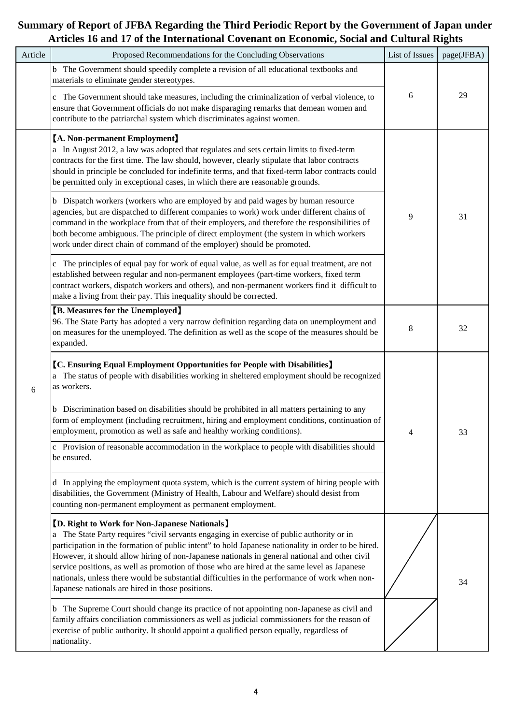| Article | Proposed Recommendations for the Concluding Observations                                                                                                                                                                                                                                                                                                                                                                                                                                                                                                                                                        | List of Issues | page(JFBA) |
|---------|-----------------------------------------------------------------------------------------------------------------------------------------------------------------------------------------------------------------------------------------------------------------------------------------------------------------------------------------------------------------------------------------------------------------------------------------------------------------------------------------------------------------------------------------------------------------------------------------------------------------|----------------|------------|
|         | b The Government should speedily complete a revision of all educational textbooks and<br>materials to eliminate gender stereotypes.                                                                                                                                                                                                                                                                                                                                                                                                                                                                             |                |            |
|         | c The Government should take measures, including the criminalization of verbal violence, to<br>ensure that Government officials do not make disparaging remarks that demean women and<br>contribute to the patriarchal system which discriminates against women.                                                                                                                                                                                                                                                                                                                                                | 6              | 29         |
|         | [A. Non-permanent Employment]<br>a In August 2012, a law was adopted that regulates and sets certain limits to fixed-term<br>contracts for the first time. The law should, however, clearly stipulate that labor contracts<br>should in principle be concluded for indefinite terms, and that fixed-term labor contracts could<br>be permitted only in exceptional cases, in which there are reasonable grounds.                                                                                                                                                                                                |                |            |
|         | b Dispatch workers (workers who are employed by and paid wages by human resource<br>agencies, but are dispatched to different companies to work) work under different chains of<br>command in the workplace from that of their employers, and therefore the responsibilities of<br>both become ambiguous. The principle of direct employment (the system in which workers<br>work under direct chain of command of the employer) should be promoted.                                                                                                                                                            | 9              | 31         |
| 6       | The principles of equal pay for work of equal value, as well as for equal treatment, are not<br>established between regular and non-permanent employees (part-time workers, fixed term<br>contract workers, dispatch workers and others), and non-permanent workers find it difficult to<br>make a living from their pay. This inequality should be corrected.                                                                                                                                                                                                                                                  |                |            |
|         | <b>[B. Measures for the Unemployed]</b><br>96. The State Party has adopted a very narrow definition regarding data on unemployment and<br>on measures for the unemployed. The definition as well as the scope of the measures should be<br>expanded.                                                                                                                                                                                                                                                                                                                                                            | 8              | 32         |
|         | <b>[C. Ensuring Equal Employment Opportunities for People with Disabilities]</b><br>a The status of people with disabilities working in sheltered employment should be recognized<br>as workers.                                                                                                                                                                                                                                                                                                                                                                                                                |                |            |
|         | b Discrimination based on disabilities should be prohibited in all matters pertaining to any<br>form of employment (including recruitment, hiring and employment conditions, continuation of<br>employment, promotion as well as safe and healthy working conditions).                                                                                                                                                                                                                                                                                                                                          | 4              | 33         |
|         | c Provision of reasonable accommodation in the workplace to people with disabilities should<br>be ensured.                                                                                                                                                                                                                                                                                                                                                                                                                                                                                                      |                |            |
|         | d In applying the employment quota system, which is the current system of hiring people with<br>disabilities, the Government (Ministry of Health, Labour and Welfare) should desist from<br>counting non-permanent employment as permanent employment.                                                                                                                                                                                                                                                                                                                                                          |                |            |
|         | <b>[D. Right to Work for Non-Japanese Nationals]</b><br>a The State Party requires "civil servants engaging in exercise of public authority or in<br>participation in the formation of public intent" to hold Japanese nationality in order to be hired.<br>However, it should allow hiring of non-Japanese nationals in general national and other civil<br>service positions, as well as promotion of those who are hired at the same level as Japanese<br>nationals, unless there would be substantial difficulties in the performance of work when non-<br>Japanese nationals are hired in those positions. |                | 34         |
|         | The Supreme Court should change its practice of not appointing non-Japanese as civil and<br>b<br>family affairs conciliation commissioners as well as judicial commissioners for the reason of<br>exercise of public authority. It should appoint a qualified person equally, regardless of<br>nationality.                                                                                                                                                                                                                                                                                                     |                |            |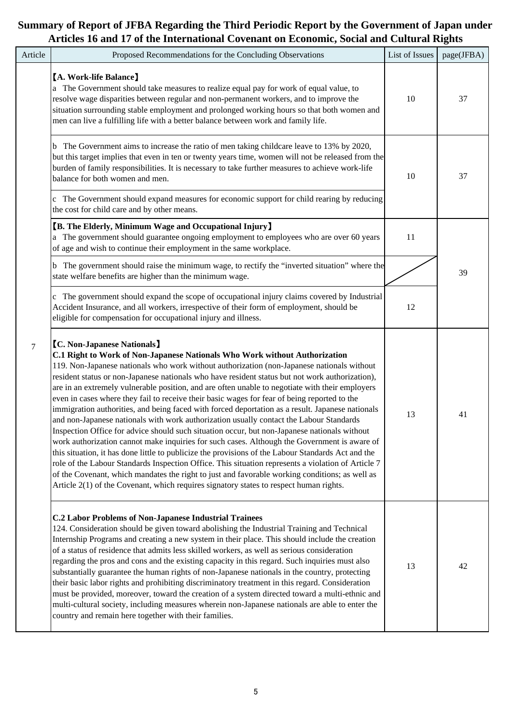| Article | Proposed Recommendations for the Concluding Observations                                                                                                                                                                                                                                                                                                                                                                                                                                                                                                                                                                                                                                                                                                                                                                                                                                                                                                                                                                                                                                                                                                                                                                                                                                                                    | List of Issues | page(JFBA) |
|---------|-----------------------------------------------------------------------------------------------------------------------------------------------------------------------------------------------------------------------------------------------------------------------------------------------------------------------------------------------------------------------------------------------------------------------------------------------------------------------------------------------------------------------------------------------------------------------------------------------------------------------------------------------------------------------------------------------------------------------------------------------------------------------------------------------------------------------------------------------------------------------------------------------------------------------------------------------------------------------------------------------------------------------------------------------------------------------------------------------------------------------------------------------------------------------------------------------------------------------------------------------------------------------------------------------------------------------------|----------------|------------|
|         | [A. Work-life Balance]<br>a The Government should take measures to realize equal pay for work of equal value, to<br>resolve wage disparities between regular and non-permanent workers, and to improve the<br>situation surrounding stable employment and prolonged working hours so that both women and<br>men can live a fulfilling life with a better balance between work and family life.                                                                                                                                                                                                                                                                                                                                                                                                                                                                                                                                                                                                                                                                                                                                                                                                                                                                                                                              | 10             | 37         |
|         | The Government aims to increase the ratio of men taking childcare leave to 13% by 2020,<br>b<br>but this target implies that even in ten or twenty years time, women will not be released from the<br>burden of family responsibilities. It is necessary to take further measures to achieve work-life<br>balance for both women and men.                                                                                                                                                                                                                                                                                                                                                                                                                                                                                                                                                                                                                                                                                                                                                                                                                                                                                                                                                                                   | 10             | 37         |
|         | The Government should expand measures for economic support for child rearing by reducing<br>the cost for child care and by other means.                                                                                                                                                                                                                                                                                                                                                                                                                                                                                                                                                                                                                                                                                                                                                                                                                                                                                                                                                                                                                                                                                                                                                                                     |                |            |
|         | <b>[B. The Elderly, Minimum Wage and Occupational Injury]</b><br>a The government should guarantee ongoing employment to employees who are over 60 years<br>of age and wish to continue their employment in the same workplace.                                                                                                                                                                                                                                                                                                                                                                                                                                                                                                                                                                                                                                                                                                                                                                                                                                                                                                                                                                                                                                                                                             | 11             |            |
|         | The government should raise the minimum wage, to rectify the "inverted situation" where the<br>state welfare benefits are higher than the minimum wage.                                                                                                                                                                                                                                                                                                                                                                                                                                                                                                                                                                                                                                                                                                                                                                                                                                                                                                                                                                                                                                                                                                                                                                     |                | 39         |
|         | c The government should expand the scope of occupational injury claims covered by Industrial<br>Accident Insurance, and all workers, irrespective of their form of employment, should be<br>eligible for compensation for occupational injury and illness.                                                                                                                                                                                                                                                                                                                                                                                                                                                                                                                                                                                                                                                                                                                                                                                                                                                                                                                                                                                                                                                                  | 12             |            |
| 7       | <b>[C. Non-Japanese Nationals]</b><br>C.1 Right to Work of Non-Japanese Nationals Who Work without Authorization<br>119. Non-Japanese nationals who work without authorization (non-Japanese nationals without<br>resident status or non-Japanese nationals who have resident status but not work authorization),<br>are in an extremely vulnerable position, and are often unable to negotiate with their employers<br>even in cases where they fail to receive their basic wages for fear of being reported to the<br>immigration authorities, and being faced with forced deportation as a result. Japanese nationals<br>and non-Japanese nationals with work authorization usually contact the Labour Standards<br>Inspection Office for advice should such situation occur, but non-Japanese nationals without<br>work authorization cannot make inquiries for such cases. Although the Government is aware of<br>this situation, it has done little to publicize the provisions of the Labour Standards Act and the<br>role of the Labour Standards Inspection Office. This situation represents a violation of Article 7<br>of the Covenant, which mandates the right to just and favorable working conditions; as well as<br>Article 2(1) of the Covenant, which requires signatory states to respect human rights. | 13             | 41         |
|         | <b>C.2 Labor Problems of Non-Japanese Industrial Trainees</b><br>124. Consideration should be given toward abolishing the Industrial Training and Technical<br>Internship Programs and creating a new system in their place. This should include the creation<br>of a status of residence that admits less skilled workers, as well as serious consideration<br>regarding the pros and cons and the existing capacity in this regard. Such inquiries must also<br>substantially guarantee the human rights of non-Japanese nationals in the country, protecting<br>their basic labor rights and prohibiting discriminatory treatment in this regard. Consideration<br>must be provided, moreover, toward the creation of a system directed toward a multi-ethnic and<br>multi-cultural society, including measures wherein non-Japanese nationals are able to enter the<br>country and remain here together with their families.                                                                                                                                                                                                                                                                                                                                                                                            | 13             | 42         |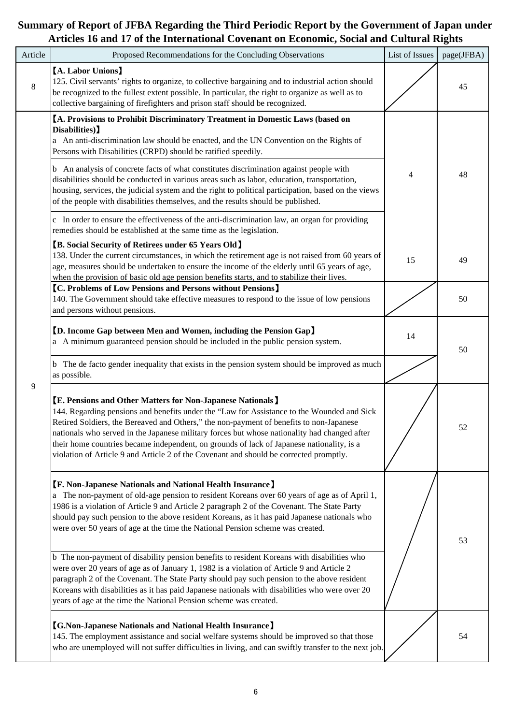| Article     | Proposed Recommendations for the Concluding Observations                                                                                                                                                                                                                                                                                                                                                                                                                                                                                                                                                                                              | List of Issues | page(JFBA) |
|-------------|-------------------------------------------------------------------------------------------------------------------------------------------------------------------------------------------------------------------------------------------------------------------------------------------------------------------------------------------------------------------------------------------------------------------------------------------------------------------------------------------------------------------------------------------------------------------------------------------------------------------------------------------------------|----------------|------------|
| $\,$ 8 $\,$ | [A. Labor Unions]<br>125. Civil servants' rights to organize, to collective bargaining and to industrial action should<br>be recognized to the fullest extent possible. In particular, the right to organize as well as to<br>collective bargaining of firefighters and prison staff should be recognized.                                                                                                                                                                                                                                                                                                                                            |                | 45         |
|             | <b>[A. Provisions to Prohibit Discriminatory Treatment in Domestic Laws (based on</b><br>Disabilities)<br>a An anti-discrimination law should be enacted, and the UN Convention on the Rights of<br>Persons with Disabilities (CRPD) should be ratified speedily.<br>b An analysis of concrete facts of what constitutes discrimination against people with<br>disabilities should be conducted in various areas such as labor, education, transportation,<br>housing, services, the judicial system and the right to political participation, based on the views<br>of the people with disabilities themselves, and the results should be published. | 4              | 48         |
|             | c In order to ensure the effectiveness of the anti-discrimination law, an organ for providing<br>remedies should be established at the same time as the legislation.<br><b>[B. Social Security of Retirees under 65 Years Old]</b>                                                                                                                                                                                                                                                                                                                                                                                                                    |                |            |
|             | 138. Under the current circumstances, in which the retirement age is not raised from 60 years of<br>age, measures should be undertaken to ensure the income of the elderly until 65 years of age,<br>when the provision of basic old age pension benefits starts, and to stabilize their lives.                                                                                                                                                                                                                                                                                                                                                       | 15             | 49         |
|             | <b>[C. Problems of Low Pensions and Persons without Pensions]</b><br>140. The Government should take effective measures to respond to the issue of low pensions<br>and persons without pensions.                                                                                                                                                                                                                                                                                                                                                                                                                                                      |                | 50         |
|             | <b>[D. Income Gap between Men and Women, including the Pension Gap]</b><br>a A minimum guaranteed pension should be included in the public pension system.                                                                                                                                                                                                                                                                                                                                                                                                                                                                                            | 14             | 50         |
|             | The de facto gender inequality that exists in the pension system should be improved as much<br>as possible.                                                                                                                                                                                                                                                                                                                                                                                                                                                                                                                                           |                |            |
| 9           | <b>[E. Pensions and Other Matters for Non-Japanese Nationals]</b><br>144. Regarding pensions and benefits under the "Law for Assistance to the Wounded and Sick<br>Retired Soldiers, the Bereaved and Others," the non-payment of benefits to non-Japanese<br>nationals who served in the Japanese military forces but whose nationality had changed after<br>their home countries became independent, on grounds of lack of Japanese nationality, is a<br>violation of Article 9 and Article 2 of the Covenant and should be corrected promptly.                                                                                                     |                | 52         |
|             | [F. Non-Japanese Nationals and National Health Insurance]<br>a The non-payment of old-age pension to resident Koreans over 60 years of age as of April 1,<br>1986 is a violation of Article 9 and Article 2 paragraph 2 of the Covenant. The State Party<br>should pay such pension to the above resident Koreans, as it has paid Japanese nationals who<br>were over 50 years of age at the time the National Pension scheme was created.                                                                                                                                                                                                            |                | 53         |
|             | b The non-payment of disability pension benefits to resident Koreans with disabilities who<br>were over 20 years of age as of January 1, 1982 is a violation of Article 9 and Article 2<br>paragraph 2 of the Covenant. The State Party should pay such pension to the above resident<br>Koreans with disabilities as it has paid Japanese nationals with disabilities who were over 20<br>years of age at the time the National Pension scheme was created.                                                                                                                                                                                          |                |            |
|             | <b>[G.Non-Japanese Nationals and National Health Insurance]</b><br>145. The employment assistance and social welfare systems should be improved so that those<br>who are unemployed will not suffer difficulties in living, and can swiftly transfer to the next job.                                                                                                                                                                                                                                                                                                                                                                                 |                | 54         |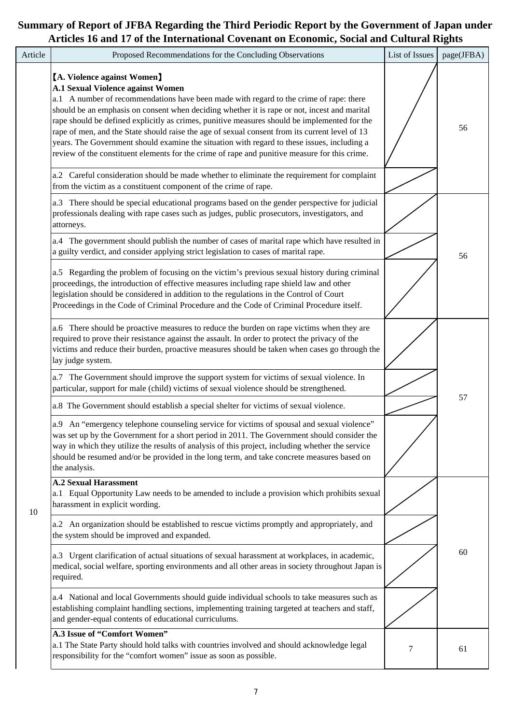| Article | Proposed Recommendations for the Concluding Observations                                                                                                                                                                                                                                                                                                                                                                                                                                                                                                                                                                                                                                                                                                                  | List of Issues | page(JFBA) |
|---------|---------------------------------------------------------------------------------------------------------------------------------------------------------------------------------------------------------------------------------------------------------------------------------------------------------------------------------------------------------------------------------------------------------------------------------------------------------------------------------------------------------------------------------------------------------------------------------------------------------------------------------------------------------------------------------------------------------------------------------------------------------------------------|----------------|------------|
|         | <b>[A. Violence against Women]</b><br><b>A.1 Sexual Violence against Women</b><br>a.1 A number of recommendations have been made with regard to the crime of rape: there<br>should be an emphasis on consent when deciding whether it is rape or not, incest and marital<br>rape should be defined explicitly as crimes, punitive measures should be implemented for the<br>rape of men, and the State should raise the age of sexual consent from its current level of 13<br>years. The Government should examine the situation with regard to these issues, including a<br>review of the constituent elements for the crime of rape and punitive measure for this crime.<br>a.2 Careful consideration should be made whether to eliminate the requirement for complaint |                | 56         |
|         | from the victim as a constituent component of the crime of rape.<br>a.3 There should be special educational programs based on the gender perspective for judicial<br>professionals dealing with rape cases such as judges, public prosecutors, investigators, and<br>attorneys.                                                                                                                                                                                                                                                                                                                                                                                                                                                                                           |                |            |
|         | a.4 The government should publish the number of cases of marital rape which have resulted in<br>a guilty verdict, and consider applying strict legislation to cases of marital rape.<br>a.5 Regarding the problem of focusing on the victim's previous sexual history during criminal<br>proceedings, the introduction of effective measures including rape shield law and other<br>legislation should be considered in addition to the regulations in the Control of Court<br>Proceedings in the Code of Criminal Procedure and the Code of Criminal Procedure itself.                                                                                                                                                                                                   |                | 56         |
|         | a.6 There should be proactive measures to reduce the burden on rape victims when they are<br>required to prove their resistance against the assault. In order to protect the privacy of the<br>victims and reduce their burden, proactive measures should be taken when cases go through the<br>lay judge system.                                                                                                                                                                                                                                                                                                                                                                                                                                                         |                |            |
|         | a.7 The Government should improve the support system for victims of sexual violence. In<br>particular, support for male (child) victims of sexual violence should be strengthened.<br>a.8 The Government should establish a special shelter for victims of sexual violence.<br>a.9 An "emergency telephone counseling service for victims of spousal and sexual violence"<br>was set up by the Government for a short period in 2011. The Government should consider the<br>way in which they utilize the results of analysis of this project, including whether the service<br>should be resumed and/or be provided in the long term, and take concrete measures based on<br>the analysis.                                                                               |                | 57         |
| 10      | <b>A.2 Sexual Harassment</b><br>a.1 Equal Opportunity Law needs to be amended to include a provision which prohibits sexual<br>harassment in explicit wording.<br>a.2 An organization should be established to rescue victims promptly and appropriately, and<br>the system should be improved and expanded.                                                                                                                                                                                                                                                                                                                                                                                                                                                              |                |            |
|         | a.3 Urgent clarification of actual situations of sexual harassment at workplaces, in academic,<br>medical, social welfare, sporting environments and all other areas in society throughout Japan is<br>required.                                                                                                                                                                                                                                                                                                                                                                                                                                                                                                                                                          |                | 60         |
|         | a.4 National and local Governments should guide individual schools to take measures such as<br>establishing complaint handling sections, implementing training targeted at teachers and staff,<br>and gender-equal contents of educational curriculums.                                                                                                                                                                                                                                                                                                                                                                                                                                                                                                                   |                |            |
|         | A.3 Issue of "Comfort Women"<br>a.1 The State Party should hold talks with countries involved and should acknowledge legal<br>responsibility for the "comfort women" issue as soon as possible.                                                                                                                                                                                                                                                                                                                                                                                                                                                                                                                                                                           | 7              | 61         |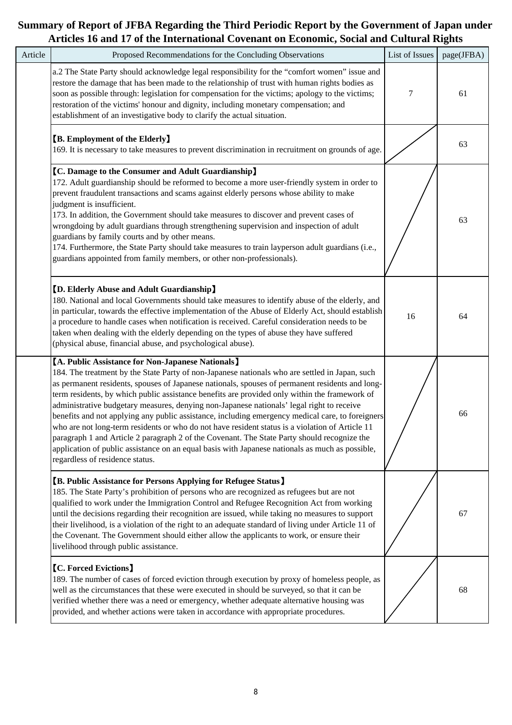| Article | Proposed Recommendations for the Concluding Observations                                                                                                                                                                                                                                                                                                                                                                                                                                                                                                                                                                                                                                                                                                                                                                                                                                         | List of Issues   | page(JFBA) |
|---------|--------------------------------------------------------------------------------------------------------------------------------------------------------------------------------------------------------------------------------------------------------------------------------------------------------------------------------------------------------------------------------------------------------------------------------------------------------------------------------------------------------------------------------------------------------------------------------------------------------------------------------------------------------------------------------------------------------------------------------------------------------------------------------------------------------------------------------------------------------------------------------------------------|------------------|------------|
|         | a.2 The State Party should acknowledge legal responsibility for the "comfort women" issue and<br>restore the damage that has been made to the relationship of trust with human rights bodies as<br>soon as possible through: legislation for compensation for the victims; apology to the victims;<br>restoration of the victims' honour and dignity, including monetary compensation; and<br>establishment of an investigative body to clarify the actual situation.                                                                                                                                                                                                                                                                                                                                                                                                                            | $\boldsymbol{7}$ | 61         |
|         | <b>[B. Employment of the Elderly]</b><br>169. It is necessary to take measures to prevent discrimination in recruitment on grounds of age.                                                                                                                                                                                                                                                                                                                                                                                                                                                                                                                                                                                                                                                                                                                                                       |                  | 63         |
|         | <b>[C. Damage to the Consumer and Adult Guardianship]</b><br>172. Adult guardianship should be reformed to become a more user-friendly system in order to<br>prevent fraudulent transactions and scams against elderly persons whose ability to make<br>judgment is insufficient.<br>173. In addition, the Government should take measures to discover and prevent cases of<br>wrongdoing by adult guardians through strengthening supervision and inspection of adult<br>guardians by family courts and by other means.<br>174. Furthermore, the State Party should take measures to train layperson adult guardians (i.e.,<br>guardians appointed from family members, or other non-professionals).                                                                                                                                                                                            |                  | 63         |
|         | <b>[D. Elderly Abuse and Adult Guardianship]</b><br>180. National and local Governments should take measures to identify abuse of the elderly, and<br>in particular, towards the effective implementation of the Abuse of Elderly Act, should establish<br>a procedure to handle cases when notification is received. Careful consideration needs to be<br>taken when dealing with the elderly depending on the types of abuse they have suffered<br>(physical abuse, financial abuse, and psychological abuse).                                                                                                                                                                                                                                                                                                                                                                                 | 16               | 64         |
|         | [A. Public Assistance for Non-Japanese Nationals]<br>184. The treatment by the State Party of non-Japanese nationals who are settled in Japan, such<br>as permanent residents, spouses of Japanese nationals, spouses of permanent residents and long-<br>term residents, by which public assistance benefits are provided only within the framework of<br>administrative budgetary measures, denying non-Japanese nationals' legal right to receive<br>benefits and not applying any public assistance, including emergency medical care, to foreigners<br>who are not long-term residents or who do not have resident status is a violation of Article 11<br>paragraph 1 and Article 2 paragraph 2 of the Covenant. The State Party should recognize the<br>application of public assistance on an equal basis with Japanese nationals as much as possible,<br>regardless of residence status. |                  | 66         |
|         | <b>[B. Public Assistance for Persons Applying for Refugee Status]</b><br>185. The State Party's prohibition of persons who are recognized as refugees but are not<br>qualified to work under the Immigration Control and Refugee Recognition Act from working<br>until the decisions regarding their recognition are issued, while taking no measures to support<br>their livelihood, is a violation of the right to an adequate standard of living under Article 11 of<br>the Covenant. The Government should either allow the applicants to work, or ensure their<br>livelihood through public assistance.                                                                                                                                                                                                                                                                                     |                  | 67         |
|         | <b>[C. Forced Evictions]</b><br>189. The number of cases of forced eviction through execution by proxy of homeless people, as<br>well as the circumstances that these were executed in should be surveyed, so that it can be<br>verified whether there was a need or emergency, whether adequate alternative housing was<br>provided, and whether actions were taken in accordance with appropriate procedures.                                                                                                                                                                                                                                                                                                                                                                                                                                                                                  |                  | 68         |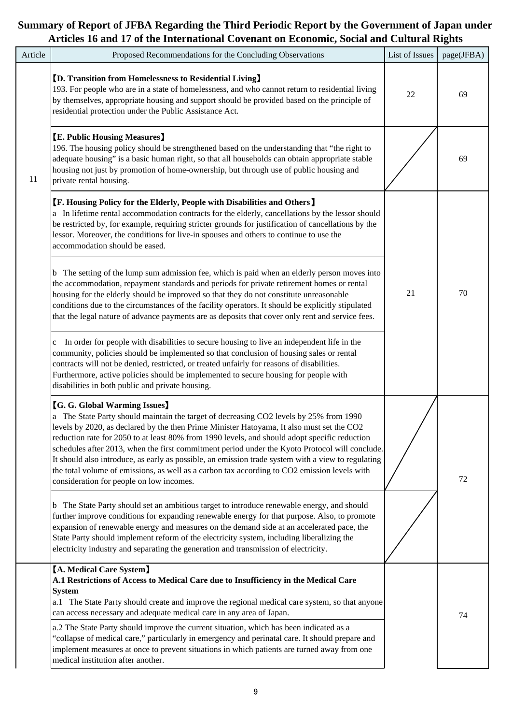| Article | Proposed Recommendations for the Concluding Observations                                                                                                                                                                                                                                                                                                                                                                                                                                                                                                                                                                                                                         | List of Issues | page(JFBA) |
|---------|----------------------------------------------------------------------------------------------------------------------------------------------------------------------------------------------------------------------------------------------------------------------------------------------------------------------------------------------------------------------------------------------------------------------------------------------------------------------------------------------------------------------------------------------------------------------------------------------------------------------------------------------------------------------------------|----------------|------------|
|         | <b>[D. Transition from Homelessness to Residential Living]</b><br>193. For people who are in a state of homelessness, and who cannot return to residential living<br>by themselves, appropriate housing and support should be provided based on the principle of<br>residential protection under the Public Assistance Act.                                                                                                                                                                                                                                                                                                                                                      | 22             | 69         |
| 11      | <b>[E. Public Housing Measures]</b><br>196. The housing policy should be strengthened based on the understanding that "the right to<br>adequate housing" is a basic human right, so that all households can obtain appropriate stable<br>housing not just by promotion of home-ownership, but through use of public housing and<br>private rental housing.                                                                                                                                                                                                                                                                                                                       |                | 69         |
|         | <b>[F. Housing Policy for the Elderly, People with Disabilities and Others</b> ]<br>a In lifetime rental accommodation contracts for the elderly, cancellations by the lessor should<br>be restricted by, for example, requiring stricter grounds for justification of cancellations by the<br>lessor. Moreover, the conditions for live-in spouses and others to continue to use the<br>accommodation should be eased.                                                                                                                                                                                                                                                          |                |            |
|         | b The setting of the lump sum admission fee, which is paid when an elderly person moves into<br>the accommodation, repayment standards and periods for private retirement homes or rental<br>housing for the elderly should be improved so that they do not constitute unreasonable<br>conditions due to the circumstances of the facility operators. It should be explicitly stipulated<br>that the legal nature of advance payments are as deposits that cover only rent and service fees.                                                                                                                                                                                     | 21             | 70         |
|         | c In order for people with disabilities to secure housing to live an independent life in the<br>community, policies should be implemented so that conclusion of housing sales or rental<br>contracts will not be denied, restricted, or treated unfairly for reasons of disabilities.<br>Furthermore, active policies should be implemented to secure housing for people with<br>disabilities in both public and private housing.                                                                                                                                                                                                                                                |                |            |
|         | <b>[G. G. Global Warming Issues]</b><br>a The State Party should maintain the target of decreasing CO2 levels by 25% from 1990<br>levels by 2020, as declared by the then Prime Minister Hatoyama, It also must set the CO2<br>reduction rate for 2050 to at least 80% from 1990 levels, and should adopt specific reduction<br>schedules after 2013, when the first commitment period under the Kyoto Protocol will conclude.<br>It should also introduce, as early as possible, an emission trade system with a view to regulating<br>the total volume of emissions, as well as a carbon tax according to CO2 emission levels with<br>consideration for people on low incomes. |                | 72         |
|         | b The State Party should set an ambitious target to introduce renewable energy, and should<br>further improve conditions for expanding renewable energy for that purpose. Also, to promote<br>expansion of renewable energy and measures on the demand side at an accelerated pace, the<br>State Party should implement reform of the electricity system, including liberalizing the<br>electricity industry and separating the generation and transmission of electricity.                                                                                                                                                                                                      |                |            |
|         | <b>[A. Medical Care System]</b><br>A.1 Restrictions of Access to Medical Care due to Insufficiency in the Medical Care<br><b>System</b><br>a.1 The State Party should create and improve the regional medical care system, so that anyone<br>can access necessary and adequate medical care in any area of Japan.                                                                                                                                                                                                                                                                                                                                                                |                | 74         |
|         | a.2 The State Party should improve the current situation, which has been indicated as a<br>"collapse of medical care," particularly in emergency and perinatal care. It should prepare and<br>implement measures at once to prevent situations in which patients are turned away from one<br>medical institution after another.                                                                                                                                                                                                                                                                                                                                                  |                |            |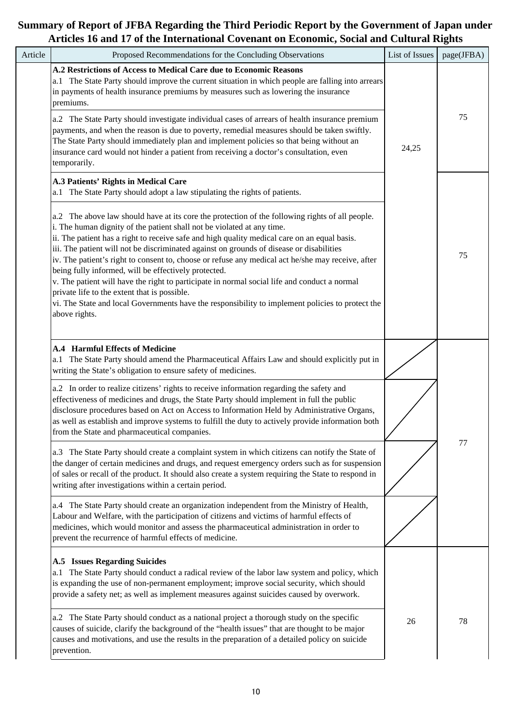| Article | Proposed Recommendations for the Concluding Observations                                                                                                                                                                                                                                                                                                                                                                                                                                                                                                                                                                                                                                                                                                                                                | List of Issues | page(JFBA) |
|---------|---------------------------------------------------------------------------------------------------------------------------------------------------------------------------------------------------------------------------------------------------------------------------------------------------------------------------------------------------------------------------------------------------------------------------------------------------------------------------------------------------------------------------------------------------------------------------------------------------------------------------------------------------------------------------------------------------------------------------------------------------------------------------------------------------------|----------------|------------|
|         | A.2 Restrictions of Access to Medical Care due to Economic Reasons<br>a.1 The State Party should improve the current situation in which people are falling into arrears<br>in payments of health insurance premiums by measures such as lowering the insurance<br>premiums.                                                                                                                                                                                                                                                                                                                                                                                                                                                                                                                             |                |            |
|         | a.2 The State Party should investigate individual cases of arrears of health insurance premium<br>payments, and when the reason is due to poverty, remedial measures should be taken swiftly.<br>The State Party should immediately plan and implement policies so that being without an<br>insurance card would not hinder a patient from receiving a doctor's consultation, even<br>temporarily.                                                                                                                                                                                                                                                                                                                                                                                                      | 24,25          | 75         |
|         | A.3 Patients' Rights in Medical Care<br>a.1 The State Party should adopt a law stipulating the rights of patients.                                                                                                                                                                                                                                                                                                                                                                                                                                                                                                                                                                                                                                                                                      |                |            |
|         | a.2 The above law should have at its core the protection of the following rights of all people.<br>i. The human dignity of the patient shall not be violated at any time.<br>ii. The patient has a right to receive safe and high quality medical care on an equal basis.<br>iii. The patient will not be discriminated against on grounds of disease or disabilities<br>iv. The patient's right to consent to, choose or refuse any medical act he/she may receive, after<br>being fully informed, will be effectively protected.<br>v. The patient will have the right to participate in normal social life and conduct a normal<br>private life to the extent that is possible.<br>vi. The State and local Governments have the responsibility to implement policies to protect the<br>above rights. |                | 75         |
|         | <b>A.4 Harmful Effects of Medicine</b><br>a.1 The State Party should amend the Pharmaceutical Affairs Law and should explicitly put in<br>writing the State's obligation to ensure safety of medicines.                                                                                                                                                                                                                                                                                                                                                                                                                                                                                                                                                                                                 |                |            |
|         | a.2 In order to realize citizens' rights to receive information regarding the safety and<br>effectiveness of medicines and drugs, the State Party should implement in full the public<br>disclosure procedures based on Act on Access to Information Held by Administrative Organs,<br>as well as establish and improve systems to fulfill the duty to actively provide information both<br>from the State and pharmaceutical companies.                                                                                                                                                                                                                                                                                                                                                                |                |            |
|         | a.3 The State Party should create a complaint system in which citizens can notify the State of<br>the danger of certain medicines and drugs, and request emergency orders such as for suspension<br>of sales or recall of the product. It should also create a system requiring the State to respond in<br>writing after investigations within a certain period.                                                                                                                                                                                                                                                                                                                                                                                                                                        |                | 77         |
|         | a.4 The State Party should create an organization independent from the Ministry of Health,<br>Labour and Welfare, with the participation of citizens and victims of harmful effects of<br>medicines, which would monitor and assess the pharmaceutical administration in order to<br>prevent the recurrence of harmful effects of medicine.                                                                                                                                                                                                                                                                                                                                                                                                                                                             |                |            |
|         | <b>A.5</b> Issues Regarding Suicides<br>The State Party should conduct a radical review of the labor law system and policy, which<br>is expanding the use of non-permanent employment; improve social security, which should<br>provide a safety net; as well as implement measures against suicides caused by overwork.                                                                                                                                                                                                                                                                                                                                                                                                                                                                                |                |            |
|         | a.2 The State Party should conduct as a national project a thorough study on the specific<br>causes of suicide, clarify the background of the "health issues" that are thought to be major<br>causes and motivations, and use the results in the preparation of a detailed policy on suicide<br>prevention.                                                                                                                                                                                                                                                                                                                                                                                                                                                                                             | 26             | 78         |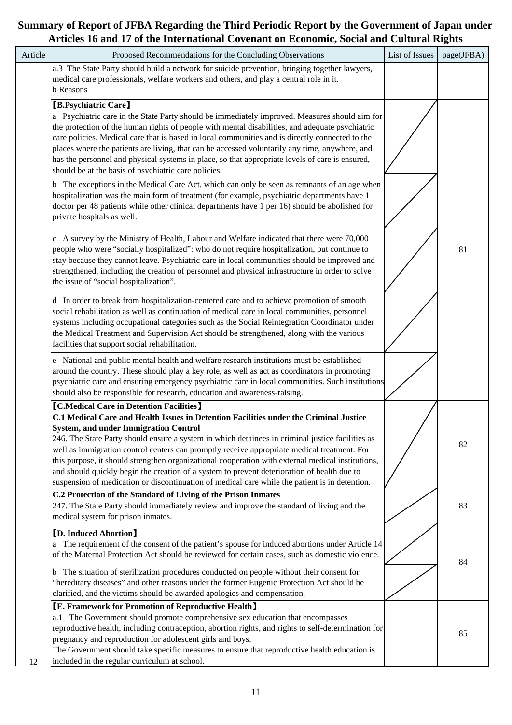| Article | Proposed Recommendations for the Concluding Observations                                                                                                                                                                                                                                                                                                                                                                                                                                                                                                                                                                                                                                                                                                                                      | List of Issues | page(JFBA) |
|---------|-----------------------------------------------------------------------------------------------------------------------------------------------------------------------------------------------------------------------------------------------------------------------------------------------------------------------------------------------------------------------------------------------------------------------------------------------------------------------------------------------------------------------------------------------------------------------------------------------------------------------------------------------------------------------------------------------------------------------------------------------------------------------------------------------|----------------|------------|
|         | a.3 The State Party should build a network for suicide prevention, bringing together lawyers,<br>medical care professionals, welfare workers and others, and play a central role in it.<br><b>b</b> Reasons                                                                                                                                                                                                                                                                                                                                                                                                                                                                                                                                                                                   |                |            |
|         | <b>[B.Psychiatric Care]</b><br>a Psychiatric care in the State Party should be immediately improved. Measures should aim for<br>the protection of the human rights of people with mental disabilities, and adequate psychiatric<br>care policies. Medical care that is based in local communities and is directly connected to the<br>places where the patients are living, that can be accessed voluntarily any time, anywhere, and<br>has the personnel and physical systems in place, so that appropriate levels of care is ensured,<br>should be at the basis of psychiatric care policies.<br>b The exceptions in the Medical Care Act, which can only be seen as remnants of an age when<br>hospitalization was the main form of treatment (for example, psychiatric departments have 1 |                |            |
|         | doctor per 48 patients while other clinical departments have 1 per 16) should be abolished for<br>private hospitals as well.<br>c A survey by the Ministry of Health, Labour and Welfare indicated that there were 70,000<br>people who were "socially hospitalized": who do not require hospitalization, but continue to<br>stay because they cannot leave. Psychiatric care in local communities should be improved and<br>strengthened, including the creation of personnel and physical infrastructure in order to solve<br>the issue of "social hospitalization".                                                                                                                                                                                                                        |                | 81         |
|         | d In order to break from hospitalization-centered care and to achieve promotion of smooth<br>social rehabilitation as well as continuation of medical care in local communities, personnel<br>systems including occupational categories such as the Social Reintegration Coordinator under<br>the Medical Treatment and Supervision Act should be strengthened, along with the various<br>facilities that support social rehabilitation.                                                                                                                                                                                                                                                                                                                                                      |                |            |
|         | e National and public mental health and welfare research institutions must be established<br>around the country. These should play a key role, as well as act as coordinators in promoting<br>psychiatric care and ensuring emergency psychiatric care in local communities. Such institutions<br>should also be responsible for research, education and awareness-raising.                                                                                                                                                                                                                                                                                                                                                                                                                   |                |            |
|         | <b>[C.Medical Care in Detention Facilities]</b><br>C.1 Medical Care and Health Issues in Detention Facilities under the Criminal Justice<br><b>System, and under Immigration Control</b><br>246. The State Party should ensure a system in which detainees in criminal justice facilities as<br>well as immigration control centers can promptly receive appropriate medical treatment. For<br>this purpose, it should strengthen organizational cooperation with external medical institutions,<br>and should quickly begin the creation of a system to prevent deterioration of health due to<br>suspension of medication or discontinuation of medical care while the patient is in detention.                                                                                             |                | 82         |
|         | C.2 Protection of the Standard of Living of the Prison Inmates<br>247. The State Party should immediately review and improve the standard of living and the<br>medical system for prison inmates.                                                                                                                                                                                                                                                                                                                                                                                                                                                                                                                                                                                             |                | 83         |
|         | <b>[D. Induced Abortion]</b><br>The requirement of the consent of the patient's spouse for induced abortions under Article 14<br>a<br>of the Maternal Protection Act should be reviewed for certain cases, such as domestic violence.                                                                                                                                                                                                                                                                                                                                                                                                                                                                                                                                                         |                | 84         |
|         | b The situation of sterilization procedures conducted on people without their consent for<br>"hereditary diseases" and other reasons under the former Eugenic Protection Act should be<br>clarified, and the victims should be awarded apologies and compensation.                                                                                                                                                                                                                                                                                                                                                                                                                                                                                                                            |                |            |
| 12      | <b>[E. Framework for Promotion of Reproductive Health]</b><br>a.1 The Government should promote comprehensive sex education that encompasses<br>reproductive health, including contraception, abortion rights, and rights to self-determination for<br>pregnancy and reproduction for adolescent girls and boys.<br>The Government should take specific measures to ensure that reproductive health education is<br>included in the regular curriculum at school.                                                                                                                                                                                                                                                                                                                             |                | 85         |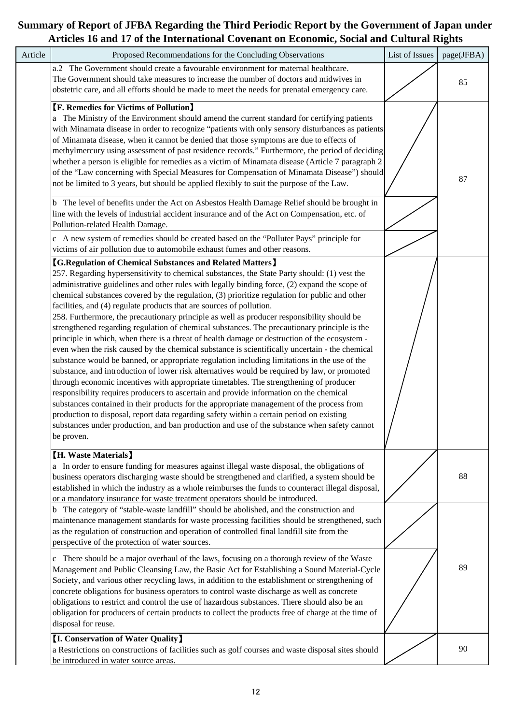| Article | Proposed Recommendations for the Concluding Observations                                                                                                                                                                                                                                                                                                                                                                                                                                                                                                                                                                                                                                                                                                                                                                                                                                                                                                                                                                                                                                                                                                                                                                                                                                                                                                                                                                                                                                                                              | List of Issues | page(JFBA) |
|---------|---------------------------------------------------------------------------------------------------------------------------------------------------------------------------------------------------------------------------------------------------------------------------------------------------------------------------------------------------------------------------------------------------------------------------------------------------------------------------------------------------------------------------------------------------------------------------------------------------------------------------------------------------------------------------------------------------------------------------------------------------------------------------------------------------------------------------------------------------------------------------------------------------------------------------------------------------------------------------------------------------------------------------------------------------------------------------------------------------------------------------------------------------------------------------------------------------------------------------------------------------------------------------------------------------------------------------------------------------------------------------------------------------------------------------------------------------------------------------------------------------------------------------------------|----------------|------------|
|         | a.2 The Government should create a favourable environment for maternal healthcare.<br>The Government should take measures to increase the number of doctors and midwives in<br>obstetric care, and all efforts should be made to meet the needs for prenatal emergency care.                                                                                                                                                                                                                                                                                                                                                                                                                                                                                                                                                                                                                                                                                                                                                                                                                                                                                                                                                                                                                                                                                                                                                                                                                                                          |                | 85         |
|         | <b>[F. Remedies for Victims of Pollution]</b><br>a The Ministry of the Environment should amend the current standard for certifying patients<br>with Minamata disease in order to recognize "patients with only sensory disturbances as patients<br>of Minamata disease, when it cannot be denied that those symptoms are due to effects of<br>methylmercury using assessment of past residence records." Furthermore, the period of deciding<br>whether a person is eligible for remedies as a victim of Minamata disease (Article 7 paragraph 2<br>of the "Law concerning with Special Measures for Compensation of Minamata Disease") should<br>not be limited to 3 years, but should be applied flexibly to suit the purpose of the Law.<br>b The level of benefits under the Act on Asbestos Health Damage Relief should be brought in<br>line with the levels of industrial accident insurance and of the Act on Compensation, etc. of<br>Pollution-related Health Damage.<br>c A new system of remedies should be created based on the "Polluter Pays" principle for<br>victims of air pollution due to automobile exhaust fumes and other reasons.                                                                                                                                                                                                                                                                                                                                                                            |                | 87         |
|         | <b>[G.Regulation of Chemical Substances and Related Matters]</b><br>257. Regarding hypersensitivity to chemical substances, the State Party should: (1) vest the<br>administrative guidelines and other rules with legally binding force, (2) expand the scope of<br>chemical substances covered by the regulation, (3) prioritize regulation for public and other<br>facilities, and (4) regulate products that are sources of pollution.<br>258. Furthermore, the precautionary principle as well as producer responsibility should be<br>strengthened regarding regulation of chemical substances. The precautionary principle is the<br>principle in which, when there is a threat of health damage or destruction of the ecosystem -<br>even when the risk caused by the chemical substance is scientifically uncertain - the chemical<br>substance would be banned, or appropriate regulation including limitations in the use of the<br>substance, and introduction of lower risk alternatives would be required by law, or promoted<br>through economic incentives with appropriate timetables. The strengthening of producer<br>responsibility requires producers to ascertain and provide information on the chemical<br>substances contained in their products for the appropriate management of the process from<br>production to disposal, report data regarding safety within a certain period on existing<br>substances under production, and ban production and use of the substance when safety cannot<br>be proven. |                |            |
|         | [H. Waste Materials]<br>a In order to ensure funding for measures against illegal waste disposal, the obligations of<br>business operators discharging waste should be strengthened and clarified, a system should be<br>established in which the industry as a whole reimburses the funds to counteract illegal disposal,<br>or a mandatory insurance for waste treatment operators should be introduced.                                                                                                                                                                                                                                                                                                                                                                                                                                                                                                                                                                                                                                                                                                                                                                                                                                                                                                                                                                                                                                                                                                                            |                | 88         |
|         | The category of "stable-waste landfill" should be abolished, and the construction and<br>maintenance management standards for waste processing facilities should be strengthened, such<br>as the regulation of construction and operation of controlled final landfill site from the<br>perspective of the protection of water sources.                                                                                                                                                                                                                                                                                                                                                                                                                                                                                                                                                                                                                                                                                                                                                                                                                                                                                                                                                                                                                                                                                                                                                                                               |                |            |
|         | There should be a major overhaul of the laws, focusing on a thorough review of the Waste<br>c<br>Management and Public Cleansing Law, the Basic Act for Establishing a Sound Material-Cycle<br>Society, and various other recycling laws, in addition to the establishment or strengthening of<br>concrete obligations for business operators to control waste discharge as well as concrete<br>obligations to restrict and control the use of hazardous substances. There should also be an<br>obligation for producers of certain products to collect the products free of charge at the time of<br>disposal for reuse.                                                                                                                                                                                                                                                                                                                                                                                                                                                                                                                                                                                                                                                                                                                                                                                                                                                                                                             |                | 89         |
|         | <b>I. Conservation of Water Quality</b><br>a Restrictions on constructions of facilities such as golf courses and waste disposal sites should<br>be introduced in water source areas.                                                                                                                                                                                                                                                                                                                                                                                                                                                                                                                                                                                                                                                                                                                                                                                                                                                                                                                                                                                                                                                                                                                                                                                                                                                                                                                                                 |                | 90         |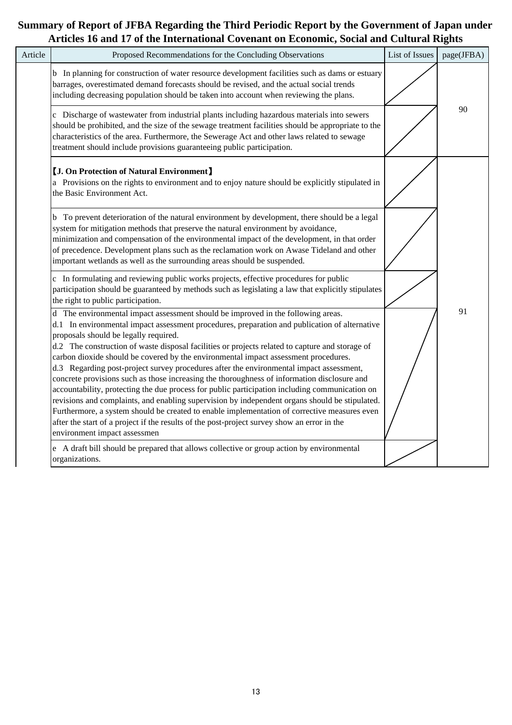| Article | Proposed Recommendations for the Concluding Observations                                                                                                                                                                                                                                                                                                                                                                                                                                                                                                                                                                                                                                                                                                                                                                                                                                                                                                                                                                                          | List of Issues | page(JFBA) |
|---------|---------------------------------------------------------------------------------------------------------------------------------------------------------------------------------------------------------------------------------------------------------------------------------------------------------------------------------------------------------------------------------------------------------------------------------------------------------------------------------------------------------------------------------------------------------------------------------------------------------------------------------------------------------------------------------------------------------------------------------------------------------------------------------------------------------------------------------------------------------------------------------------------------------------------------------------------------------------------------------------------------------------------------------------------------|----------------|------------|
|         | b In planning for construction of water resource development facilities such as dams or estuary<br>barrages, overestimated demand forecasts should be revised, and the actual social trends<br>including decreasing population should be taken into account when reviewing the plans.                                                                                                                                                                                                                                                                                                                                                                                                                                                                                                                                                                                                                                                                                                                                                             |                |            |
|         | c Discharge of wastewater from industrial plants including hazardous materials into sewers<br>should be prohibited, and the size of the sewage treatment facilities should be appropriate to the<br>characteristics of the area. Furthermore, the Sewerage Act and other laws related to sewage<br>treatment should include provisions guaranteeing public participation.                                                                                                                                                                                                                                                                                                                                                                                                                                                                                                                                                                                                                                                                         |                | 90         |
|         | <b>[J. On Protection of Natural Environment]</b><br>a Provisions on the rights to environment and to enjoy nature should be explicitly stipulated in<br>the Basic Environment Act.                                                                                                                                                                                                                                                                                                                                                                                                                                                                                                                                                                                                                                                                                                                                                                                                                                                                |                |            |
|         | b To prevent deterioration of the natural environment by development, there should be a legal<br>system for mitigation methods that preserve the natural environment by avoidance,<br>minimization and compensation of the environmental impact of the development, in that order<br>of precedence. Development plans such as the reclamation work on Awase Tideland and other<br>important wetlands as well as the surrounding areas should be suspended.                                                                                                                                                                                                                                                                                                                                                                                                                                                                                                                                                                                        |                |            |
|         | c In formulating and reviewing public works projects, effective procedures for public<br>participation should be guaranteed by methods such as legislating a law that explicitly stipulates<br>the right to public participation.                                                                                                                                                                                                                                                                                                                                                                                                                                                                                                                                                                                                                                                                                                                                                                                                                 |                |            |
|         | d The environmental impact assessment should be improved in the following areas.<br>d.1 In environmental impact assessment procedures, preparation and publication of alternative<br>proposals should be legally required.<br>d.2 The construction of waste disposal facilities or projects related to capture and storage of<br>carbon dioxide should be covered by the environmental impact assessment procedures.<br>d.3 Regarding post-project survey procedures after the environmental impact assessment,<br>concrete provisions such as those increasing the thoroughness of information disclosure and<br>accountability, protecting the due process for public participation including communication on<br>revisions and complaints, and enabling supervision by independent organs should be stipulated.<br>Furthermore, a system should be created to enable implementation of corrective measures even<br>after the start of a project if the results of the post-project survey show an error in the<br>environment impact assessmen |                | 91         |
|         | e A draft bill should be prepared that allows collective or group action by environmental<br>organizations.                                                                                                                                                                                                                                                                                                                                                                                                                                                                                                                                                                                                                                                                                                                                                                                                                                                                                                                                       |                |            |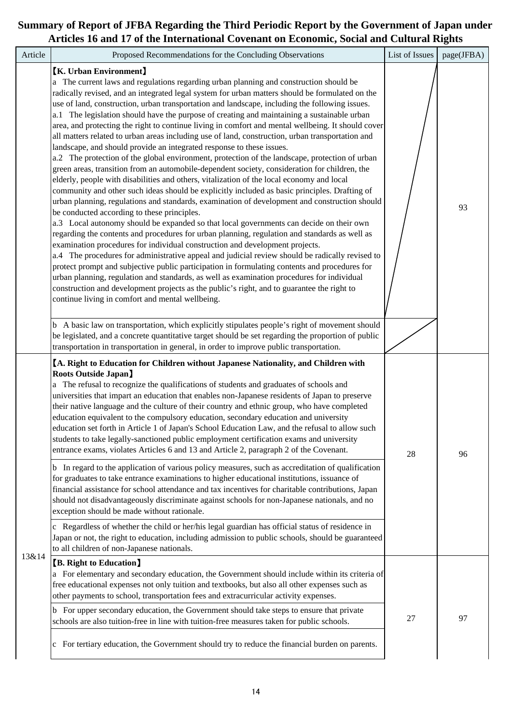| Article | Proposed Recommendations for the Concluding Observations                                                                                                                                                                                                                                                                                                                                                                                                                                                                                                                                                                                                                                                                                                                                                                                                                                                                                                                                                                                                                                                                                                                                                                                                                                                                                                                                                                                                                                                                                                                                                                                                                                                                                                                                                                                                                                                                                                                                      | List of Issues | page(JFBA) |
|---------|-----------------------------------------------------------------------------------------------------------------------------------------------------------------------------------------------------------------------------------------------------------------------------------------------------------------------------------------------------------------------------------------------------------------------------------------------------------------------------------------------------------------------------------------------------------------------------------------------------------------------------------------------------------------------------------------------------------------------------------------------------------------------------------------------------------------------------------------------------------------------------------------------------------------------------------------------------------------------------------------------------------------------------------------------------------------------------------------------------------------------------------------------------------------------------------------------------------------------------------------------------------------------------------------------------------------------------------------------------------------------------------------------------------------------------------------------------------------------------------------------------------------------------------------------------------------------------------------------------------------------------------------------------------------------------------------------------------------------------------------------------------------------------------------------------------------------------------------------------------------------------------------------------------------------------------------------------------------------------------------------|----------------|------------|
|         | <b>K.</b> Urban Environment<br>a The current laws and regulations regarding urban planning and construction should be<br>radically revised, and an integrated legal system for urban matters should be formulated on the<br>use of land, construction, urban transportation and landscape, including the following issues.<br>a.1 The legislation should have the purpose of creating and maintaining a sustainable urban<br>area, and protecting the right to continue living in comfort and mental wellbeing. It should cover<br>all matters related to urban areas including use of land, construction, urban transportation and<br>landscape, and should provide an integrated response to these issues.<br>a.2 The protection of the global environment, protection of the landscape, protection of urban<br>green areas, transition from an automobile-dependent society, consideration for children, the<br>elderly, people with disabilities and others, vitalization of the local economy and local<br>community and other such ideas should be explicitly included as basic principles. Drafting of<br>urban planning, regulations and standards, examination of development and construction should<br>be conducted according to these principles.<br>a.3 Local autonomy should be expanded so that local governments can decide on their own<br>regarding the contents and procedures for urban planning, regulation and standards as well as<br>examination procedures for individual construction and development projects.<br>a.4 The procedures for administrative appeal and judicial review should be radically revised to<br>protect prompt and subjective public participation in formulating contents and procedures for<br>urban planning, regulation and standards, as well as examination procedures for individual<br>construction and development projects as the public's right, and to guarantee the right to<br>continue living in comfort and mental wellbeing. |                | 93         |
|         | b A basic law on transportation, which explicitly stipulates people's right of movement should<br>be legislated, and a concrete quantitative target should be set regarding the proportion of public<br>transportation in transportation in general, in order to improve public transportation.                                                                                                                                                                                                                                                                                                                                                                                                                                                                                                                                                                                                                                                                                                                                                                                                                                                                                                                                                                                                                                                                                                                                                                                                                                                                                                                                                                                                                                                                                                                                                                                                                                                                                               |                |            |
|         | [A. Right to Education for Children without Japanese Nationality, and Children with<br><b>Roots Outside Japan</b><br>a The refusal to recognize the qualifications of students and graduates of schools and<br>universities that impart an education that enables non-Japanese residents of Japan to preserve<br>their native language and the culture of their country and ethnic group, who have completed<br>education equivalent to the compulsory education, secondary education and university<br>education set forth in Article 1 of Japan's School Education Law, and the refusal to allow such<br>students to take legally-sanctioned public employment certification exams and university<br>entrance exams, violates Articles 6 and 13 and Article 2, paragraph 2 of the Covenant.<br>b In regard to the application of various policy measures, such as accreditation of qualification<br>for graduates to take entrance examinations to higher educational institutions, issuance of<br>financial assistance for school attendance and tax incentives for charitable contributions, Japan<br>should not disadvantageously discriminate against schools for non-Japanese nationals, and no<br>exception should be made without rationale.<br>c Regardless of whether the child or her/his legal guardian has official status of residence in<br>Japan or not, the right to education, including admission to public schools, should be guaranteed<br>to all children of non-Japanese nationals.                                                                                                                                                                                                                                                                                                                                                                                                                                                                                   | 28             | 96         |
| 13&14   | <b>[B. Right to Education]</b><br>a For elementary and secondary education, the Government should include within its criteria of<br>free educational expenses not only tuition and textbooks, but also all other expenses such as<br>other payments to school, transportation fees and extracurricular activity expenses.<br>b For upper secondary education, the Government should take steps to ensure that private<br>schools are also tuition-free in line with tuition-free measures taken for public schools.<br>c For tertiary education, the Government should try to reduce the financial burden on parents.                                                                                                                                                                                                                                                                                                                                                                                                                                                                                                                                                                                                                                                                                                                                                                                                                                                                                                                                                                                                                                                                                                                                                                                                                                                                                                                                                                         | 27             | 97         |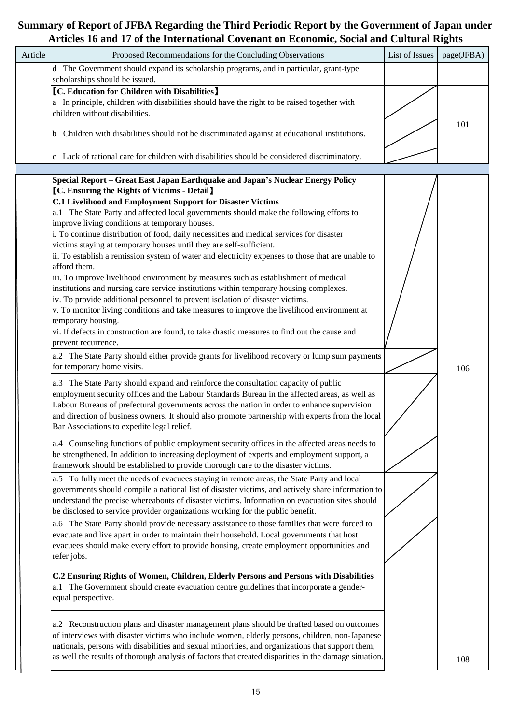| Article | Proposed Recommendations for the Concluding Observations                                                                                                                                                                                                                                                                                                                                                                                                                                                                                                                                                                                                                                                                                                                                                                                                                                                                                                                                                                                                                                                                                                                                                                                                                                                                                                                                                                                                                                                                                                                                                                                                                                                                                                                                                                                                                                                                                                                                                                                                                                                                                                                                                                                                                                                                                                                                                                                                                                                                                                                                                                                                                                                                  | List of Issues | o<br>page(JFBA) |
|---------|---------------------------------------------------------------------------------------------------------------------------------------------------------------------------------------------------------------------------------------------------------------------------------------------------------------------------------------------------------------------------------------------------------------------------------------------------------------------------------------------------------------------------------------------------------------------------------------------------------------------------------------------------------------------------------------------------------------------------------------------------------------------------------------------------------------------------------------------------------------------------------------------------------------------------------------------------------------------------------------------------------------------------------------------------------------------------------------------------------------------------------------------------------------------------------------------------------------------------------------------------------------------------------------------------------------------------------------------------------------------------------------------------------------------------------------------------------------------------------------------------------------------------------------------------------------------------------------------------------------------------------------------------------------------------------------------------------------------------------------------------------------------------------------------------------------------------------------------------------------------------------------------------------------------------------------------------------------------------------------------------------------------------------------------------------------------------------------------------------------------------------------------------------------------------------------------------------------------------------------------------------------------------------------------------------------------------------------------------------------------------------------------------------------------------------------------------------------------------------------------------------------------------------------------------------------------------------------------------------------------------------------------------------------------------------------------------------------------------|----------------|-----------------|
|         | d The Government should expand its scholarship programs, and in particular, grant-type<br>scholarships should be issued.                                                                                                                                                                                                                                                                                                                                                                                                                                                                                                                                                                                                                                                                                                                                                                                                                                                                                                                                                                                                                                                                                                                                                                                                                                                                                                                                                                                                                                                                                                                                                                                                                                                                                                                                                                                                                                                                                                                                                                                                                                                                                                                                                                                                                                                                                                                                                                                                                                                                                                                                                                                                  |                |                 |
|         | <b>[C. Education for Children with Disabilities]</b><br>a In principle, children with disabilities should have the right to be raised together with<br>children without disabilities.                                                                                                                                                                                                                                                                                                                                                                                                                                                                                                                                                                                                                                                                                                                                                                                                                                                                                                                                                                                                                                                                                                                                                                                                                                                                                                                                                                                                                                                                                                                                                                                                                                                                                                                                                                                                                                                                                                                                                                                                                                                                                                                                                                                                                                                                                                                                                                                                                                                                                                                                     |                |                 |
|         | Children with disabilities should not be discriminated against at educational institutions.                                                                                                                                                                                                                                                                                                                                                                                                                                                                                                                                                                                                                                                                                                                                                                                                                                                                                                                                                                                                                                                                                                                                                                                                                                                                                                                                                                                                                                                                                                                                                                                                                                                                                                                                                                                                                                                                                                                                                                                                                                                                                                                                                                                                                                                                                                                                                                                                                                                                                                                                                                                                                               |                | 101             |
|         | c Lack of rational care for children with disabilities should be considered discriminatory.                                                                                                                                                                                                                                                                                                                                                                                                                                                                                                                                                                                                                                                                                                                                                                                                                                                                                                                                                                                                                                                                                                                                                                                                                                                                                                                                                                                                                                                                                                                                                                                                                                                                                                                                                                                                                                                                                                                                                                                                                                                                                                                                                                                                                                                                                                                                                                                                                                                                                                                                                                                                                               |                |                 |
|         | Special Report - Great East Japan Earthquake and Japan's Nuclear Energy Policy<br><b>[C. Ensuring the Rights of Victims - Detail]</b><br><b>C.1 Livelihood and Employment Support for Disaster Victims</b><br>a.1 The State Party and affected local governments should make the following efforts to<br>improve living conditions at temporary houses.<br>i. To continue distribution of food, daily necessities and medical services for disaster<br>victims staying at temporary houses until they are self-sufficient.<br>ii. To establish a remission system of water and electricity expenses to those that are unable to<br>afford them.<br>iii. To improve livelihood environment by measures such as establishment of medical<br>institutions and nursing care service institutions within temporary housing complexes.<br>iv. To provide additional personnel to prevent isolation of disaster victims.<br>v. To monitor living conditions and take measures to improve the livelihood environment at<br>temporary housing.<br>vi. If defects in construction are found, to take drastic measures to find out the cause and<br>prevent recurrence.<br>a.2 The State Party should either provide grants for livelihood recovery or lump sum payments<br>for temporary home visits.<br>a.3 The State Party should expand and reinforce the consultation capacity of public<br>employment security offices and the Labour Standards Bureau in the affected areas, as well as<br>Labour Bureaus of prefectural governments across the nation in order to enhance supervision<br>and direction of business owners. It should also promote partnership with experts from the local<br>Bar Associations to expedite legal relief.<br>a.4 Counseling functions of public employment security offices in the affected areas needs to<br>be strengthened. In addition to increasing deployment of experts and employment support, a<br>framework should be established to provide thorough care to the disaster victims.<br>a.5 To fully meet the needs of evacuees staying in remote areas, the State Party and local<br>governments should compile a national list of disaster victims, and actively share information to<br>understand the precise whereabouts of disaster victims. Information on evacuation sites should<br>be disclosed to service provider organizations working for the public benefit.<br>a.6 The State Party should provide necessary assistance to those families that were forced to<br>evacuate and live apart in order to maintain their household. Local governments that host<br>evacuees should make every effort to provide housing, create employment opportunities and<br>refer jobs. |                | 106             |
|         | C.2 Ensuring Rights of Women, Children, Elderly Persons and Persons with Disabilities<br>The Government should create evacuation centre guidelines that incorporate a gender-<br>a. 1<br>equal perspective.                                                                                                                                                                                                                                                                                                                                                                                                                                                                                                                                                                                                                                                                                                                                                                                                                                                                                                                                                                                                                                                                                                                                                                                                                                                                                                                                                                                                                                                                                                                                                                                                                                                                                                                                                                                                                                                                                                                                                                                                                                                                                                                                                                                                                                                                                                                                                                                                                                                                                                               |                |                 |
|         | a.2 Reconstruction plans and disaster management plans should be drafted based on outcomes<br>of interviews with disaster victims who include women, elderly persons, children, non-Japanese<br>nationals, persons with disabilities and sexual minorities, and organizations that support them,<br>as well the results of thorough analysis of factors that created disparities in the damage situation.                                                                                                                                                                                                                                                                                                                                                                                                                                                                                                                                                                                                                                                                                                                                                                                                                                                                                                                                                                                                                                                                                                                                                                                                                                                                                                                                                                                                                                                                                                                                                                                                                                                                                                                                                                                                                                                                                                                                                                                                                                                                                                                                                                                                                                                                                                                 |                | 108             |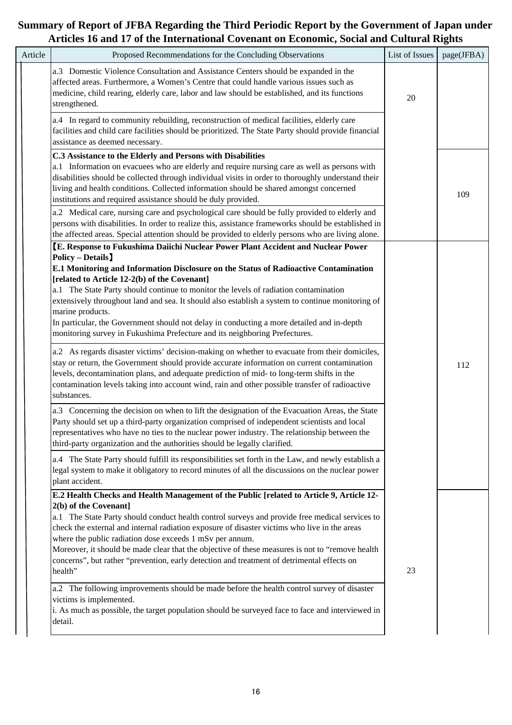| Article | Proposed Recommendations for the Concluding Observations                                                                                                                                                                                                                                                                                                                                                                                                                                                                                                                                                                                                                                                                                                                                                                                                                                                                                                                 | List of Issues | page(JFBA) |
|---------|--------------------------------------------------------------------------------------------------------------------------------------------------------------------------------------------------------------------------------------------------------------------------------------------------------------------------------------------------------------------------------------------------------------------------------------------------------------------------------------------------------------------------------------------------------------------------------------------------------------------------------------------------------------------------------------------------------------------------------------------------------------------------------------------------------------------------------------------------------------------------------------------------------------------------------------------------------------------------|----------------|------------|
|         | a.3 Domestic Violence Consultation and Assistance Centers should be expanded in the<br>affected areas. Furthermore, a Women's Centre that could handle various issues such as<br>medicine, child rearing, elderly care, labor and law should be established, and its functions<br>strengthened.                                                                                                                                                                                                                                                                                                                                                                                                                                                                                                                                                                                                                                                                          | 20             |            |
|         | a.4 In regard to community rebuilding, reconstruction of medical facilities, elderly care<br>facilities and child care facilities should be prioritized. The State Party should provide financial<br>assistance as deemed necessary.                                                                                                                                                                                                                                                                                                                                                                                                                                                                                                                                                                                                                                                                                                                                     |                |            |
|         | C.3 Assistance to the Elderly and Persons with Disabilities<br>a.1 Information on evacuees who are elderly and require nursing care as well as persons with<br>disabilities should be collected through individual visits in order to thoroughly understand their<br>living and health conditions. Collected information should be shared amongst concerned<br>institutions and required assistance should be duly provided.                                                                                                                                                                                                                                                                                                                                                                                                                                                                                                                                             |                | 109        |
|         | a.2 Medical care, nursing care and psychological care should be fully provided to elderly and<br>persons with disabilities. In order to realize this, assistance frameworks should be established in<br>the affected areas. Special attention should be provided to elderly persons who are living alone.                                                                                                                                                                                                                                                                                                                                                                                                                                                                                                                                                                                                                                                                |                |            |
|         | <b>Policy - Details</b><br>E.1 Monitoring and Information Disclosure on the Status of Radioactive Contamination<br>[related to Article 12-2(b) of the Covenant]<br>a.1 The State Party should continue to monitor the levels of radiation contamination<br>extensively throughout land and sea. It should also establish a system to continue monitoring of<br>marine products.<br>In particular, the Government should not delay in conducting a more detailed and in-depth<br>monitoring survey in Fukushima Prefecture and its neighboring Prefectures.<br>a.2 As regards disaster victims' decision-making on whether to evacuate from their domiciles,<br>stay or return, the Government should provide accurate information on current contamination<br>levels, decontamination plans, and adequate prediction of mid- to long-term shifts in the<br>contamination levels taking into account wind, rain and other possible transfer of radioactive<br>substances. |                | 112        |
|         | a.3 Concerning the decision on when to lift the designation of the Evacuation Areas, the State<br>Party should set up a third-party organization comprised of independent scientists and local<br>representatives who have no ties to the nuclear power industry. The relationship between the<br>third-party organization and the authorities should be legally clarified.                                                                                                                                                                                                                                                                                                                                                                                                                                                                                                                                                                                              |                |            |
|         | a.4 The State Party should fulfill its responsibilities set forth in the Law, and newly establish a<br>legal system to make it obligatory to record minutes of all the discussions on the nuclear power<br>plant accident.                                                                                                                                                                                                                                                                                                                                                                                                                                                                                                                                                                                                                                                                                                                                               |                |            |
|         | E.2 Health Checks and Health Management of the Public [related to Article 9, Article 12-<br>2(b) of the Covenant]<br>a.1 The State Party should conduct health control surveys and provide free medical services to<br>check the external and internal radiation exposure of disaster victims who live in the areas<br>where the public radiation dose exceeds 1 mSv per annum.<br>Moreover, it should be made clear that the objective of these measures is not to "remove health<br>concerns", but rather "prevention, early detection and treatment of detrimental effects on<br>health"<br>a.2 The following improvements should be made before the health control survey of disaster<br>victims is implemented.<br>i. As much as possible, the target population should be surveyed face to face and interviewed in                                                                                                                                                 | 23             |            |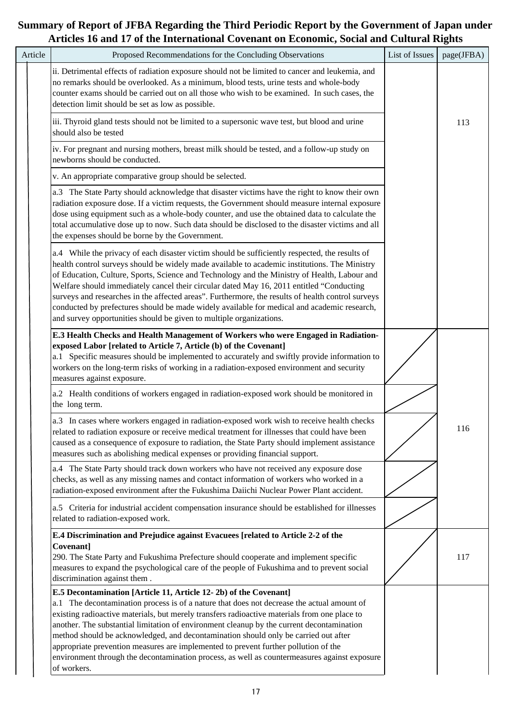| Article | Proposed Recommendations for the Concluding Observations                                                                                                                                                                                                                                                                                                                                                                                                                                                                                                                                                                                                               | List of Issues | page(JFBA) |
|---------|------------------------------------------------------------------------------------------------------------------------------------------------------------------------------------------------------------------------------------------------------------------------------------------------------------------------------------------------------------------------------------------------------------------------------------------------------------------------------------------------------------------------------------------------------------------------------------------------------------------------------------------------------------------------|----------------|------------|
|         |                                                                                                                                                                                                                                                                                                                                                                                                                                                                                                                                                                                                                                                                        |                |            |
|         | ii. Detrimental effects of radiation exposure should not be limited to cancer and leukemia, and<br>no remarks should be overlooked. As a minimum, blood tests, urine tests and whole-body<br>counter exams should be carried out on all those who wish to be examined. In such cases, the<br>detection limit should be set as low as possible.                                                                                                                                                                                                                                                                                                                         |                |            |
|         | iii. Thyroid gland tests should not be limited to a supersonic wave test, but blood and urine<br>should also be tested                                                                                                                                                                                                                                                                                                                                                                                                                                                                                                                                                 |                | 113        |
|         | iv. For pregnant and nursing mothers, breast milk should be tested, and a follow-up study on<br>newborns should be conducted.                                                                                                                                                                                                                                                                                                                                                                                                                                                                                                                                          |                |            |
|         | v. An appropriate comparative group should be selected.                                                                                                                                                                                                                                                                                                                                                                                                                                                                                                                                                                                                                |                |            |
|         | a.3 The State Party should acknowledge that disaster victims have the right to know their own<br>radiation exposure dose. If a victim requests, the Government should measure internal exposure<br>dose using equipment such as a whole-body counter, and use the obtained data to calculate the<br>total accumulative dose up to now. Such data should be disclosed to the disaster victims and all<br>the expenses should be borne by the Government.                                                                                                                                                                                                                |                |            |
|         | a.4 While the privacy of each disaster victim should be sufficiently respected, the results of<br>health control surveys should be widely made available to academic institutions. The Ministry<br>of Education, Culture, Sports, Science and Technology and the Ministry of Health, Labour and<br>Welfare should immediately cancel their circular dated May 16, 2011 entitled "Conducting<br>surveys and researches in the affected areas". Furthermore, the results of health control surveys<br>conducted by prefectures should be made widely available for medical and academic research,<br>and survey opportunities should be given to multiple organizations. |                |            |
|         | E.3 Health Checks and Health Management of Workers who were Engaged in Radiation-<br>exposed Labor [related to Article 7, Article (b) of the Covenant]<br>a.1 Specific measures should be implemented to accurately and swiftly provide information to<br>workers on the long-term risks of working in a radiation-exposed environment and security<br>measures against exposure.                                                                                                                                                                                                                                                                                      |                |            |
|         | a.2 Health conditions of workers engaged in radiation-exposed work should be monitored in<br>the long term.                                                                                                                                                                                                                                                                                                                                                                                                                                                                                                                                                            |                |            |
|         | a.3 In cases where workers engaged in radiation-exposed work wish to receive health checks<br>related to radiation exposure or receive medical treatment for illnesses that could have been<br>caused as a consequence of exposure to radiation, the State Party should implement assistance<br>measures such as abolishing medical expenses or providing financial support.                                                                                                                                                                                                                                                                                           |                | 116        |
|         | a.4 The State Party should track down workers who have not received any exposure dose<br>checks, as well as any missing names and contact information of workers who worked in a<br>radiation-exposed environment after the Fukushima Daiichi Nuclear Power Plant accident.                                                                                                                                                                                                                                                                                                                                                                                            |                |            |
|         | a.5 Criteria for industrial accident compensation insurance should be established for illnesses<br>related to radiation-exposed work.                                                                                                                                                                                                                                                                                                                                                                                                                                                                                                                                  |                |            |
|         | E.4 Discrimination and Prejudice against Evacuees [related to Article 2-2 of the<br>Covenant]<br>290. The State Party and Fukushima Prefecture should cooperate and implement specific<br>measures to expand the psychological care of the people of Fukushima and to prevent social<br>discrimination against them.                                                                                                                                                                                                                                                                                                                                                   |                | 117        |
|         | E.5 Decontamination [Article 11, Article 12-2b) of the Covenant]                                                                                                                                                                                                                                                                                                                                                                                                                                                                                                                                                                                                       |                |            |
|         | a.1 The decontamination process is of a nature that does not decrease the actual amount of<br>existing radioactive materials, but merely transfers radioactive materials from one place to<br>another. The substantial limitation of environment cleanup by the current decontamination<br>method should be acknowledged, and decontamination should only be carried out after<br>appropriate prevention measures are implemented to prevent further pollution of the<br>environment through the decontamination process, as well as countermeasures against exposure                                                                                                  |                |            |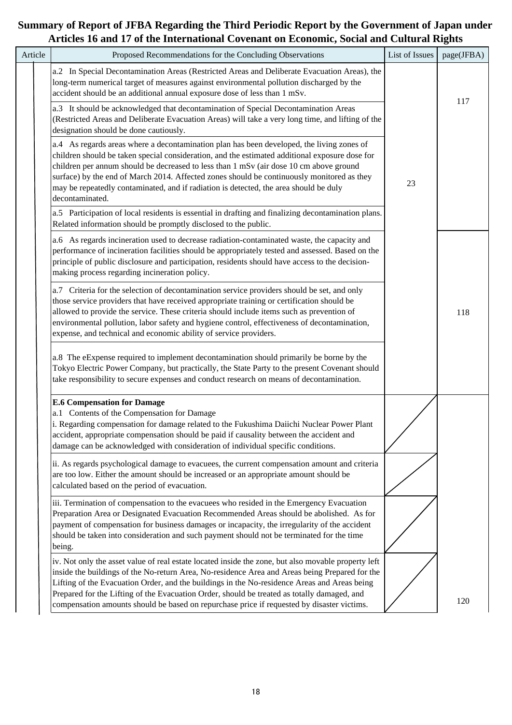|         | and I'll yn anc michnathonaf Covenant on Leonomre, boenn and Canarai Ri                                                                                                                                                                                                                                                                                                                                                                                                                            |                |            |
|---------|----------------------------------------------------------------------------------------------------------------------------------------------------------------------------------------------------------------------------------------------------------------------------------------------------------------------------------------------------------------------------------------------------------------------------------------------------------------------------------------------------|----------------|------------|
| Article | Proposed Recommendations for the Concluding Observations                                                                                                                                                                                                                                                                                                                                                                                                                                           | List of Issues | page(JFBA) |
|         | a.2 In Special Decontamination Areas (Restricted Areas and Deliberate Evacuation Areas), the<br>long-term numerical target of measures against environmental pollution discharged by the<br>accident should be an additional annual exposure dose of less than 1 mSv.                                                                                                                                                                                                                              |                |            |
|         | a.3 It should be acknowledged that decontamination of Special Decontamination Areas<br>(Restricted Areas and Deliberate Evacuation Areas) will take a very long time, and lifting of the<br>designation should be done cautiously.                                                                                                                                                                                                                                                                 |                | 117        |
|         | a.4 As regards areas where a decontamination plan has been developed, the living zones of<br>children should be taken special consideration, and the estimated additional exposure dose for<br>children per annum should be decreased to less than 1 mSv (air dose 10 cm above ground<br>surface) by the end of March 2014. Affected zones should be continuously monitored as they<br>may be repeatedly contaminated, and if radiation is detected, the area should be duly<br>decontaminated.    | 23             |            |
|         | a.5 Participation of local residents is essential in drafting and finalizing decontamination plans.<br>Related information should be promptly disclosed to the public.                                                                                                                                                                                                                                                                                                                             |                |            |
|         | a.6 As regards incineration used to decrease radiation-contaminated waste, the capacity and<br>performance of incineration facilities should be appropriately tested and assessed. Based on the<br>principle of public disclosure and participation, residents should have access to the decision-<br>making process regarding incineration policy.                                                                                                                                                |                |            |
|         | a.7 Criteria for the selection of decontamination service providers should be set, and only<br>those service providers that have received appropriate training or certification should be<br>allowed to provide the service. These criteria should include items such as prevention of<br>environmental pollution, labor safety and hygiene control, effectiveness of decontamination,<br>expense, and technical and economic ability of service providers.                                        |                | 118        |
|         | a.8 The eExpense required to implement decontamination should primarily be borne by the<br>Tokyo Electric Power Company, but practically, the State Party to the present Covenant should<br>take responsibility to secure expenses and conduct research on means of decontamination.                                                                                                                                                                                                               |                |            |
|         | <b>E.6 Compensation for Damage</b><br>a.1 Contents of the Compensation for Damage<br>i. Regarding compensation for damage related to the Fukushima Daiichi Nuclear Power Plant<br>accident, appropriate compensation should be paid if causality between the accident and<br>damage can be acknowledged with consideration of individual specific conditions.                                                                                                                                      |                |            |
|         | ii. As regards psychological damage to evacuees, the current compensation amount and criteria<br>are too low. Either the amount should be increased or an appropriate amount should be<br>calculated based on the period of evacuation.                                                                                                                                                                                                                                                            |                |            |
|         | iii. Termination of compensation to the evacuees who resided in the Emergency Evacuation<br>Preparation Area or Designated Evacuation Recommended Areas should be abolished. As for<br>payment of compensation for business damages or incapacity, the irregularity of the accident<br>should be taken into consideration and such payment should not be terminated for the time<br>being.                                                                                                         |                |            |
|         | iv. Not only the asset value of real estate located inside the zone, but also movable property left<br>inside the buildings of the No-return Area, No-residence Area and Areas being Prepared for the<br>Lifting of the Evacuation Order, and the buildings in the No-residence Areas and Areas being<br>Prepared for the Lifting of the Evacuation Order, should be treated as totally damaged, and<br>compensation amounts should be based on repurchase price if requested by disaster victims. |                | 120        |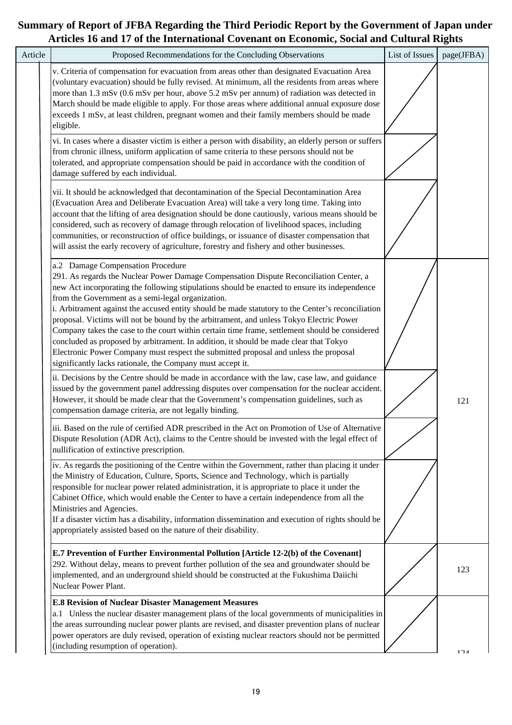| Article | Proposed Recommendations for the Concluding Observations                                                                                                                                                                                                                                                                                                                                                                                                                                                                                                                                                                                                                                                                                                                                                                           | List of Issues | page(JFBA) |
|---------|------------------------------------------------------------------------------------------------------------------------------------------------------------------------------------------------------------------------------------------------------------------------------------------------------------------------------------------------------------------------------------------------------------------------------------------------------------------------------------------------------------------------------------------------------------------------------------------------------------------------------------------------------------------------------------------------------------------------------------------------------------------------------------------------------------------------------------|----------------|------------|
|         | v. Criteria of compensation for evacuation from areas other than designated Evacuation Area<br>(voluntary evacuation) should be fully revised. At minimum, all the residents from areas where<br>more than 1.3 mSv (0.6 mSv per hour, above 5.2 mSv per annum) of radiation was detected in<br>March should be made eligible to apply. For those areas where additional annual exposure dose<br>exceeds 1 mSv, at least children, pregnant women and their family members should be made<br>eligible.                                                                                                                                                                                                                                                                                                                              |                |            |
|         | vi. In cases where a disaster victim is either a person with disability, an elderly person or suffers<br>from chronic illness, uniform application of same criteria to these persons should not be<br>tolerated, and appropriate compensation should be paid in accordance with the condition of<br>damage suffered by each individual.                                                                                                                                                                                                                                                                                                                                                                                                                                                                                            |                |            |
|         | vii. It should be acknowledged that decontamination of the Special Decontamination Area<br>(Evacuation Area and Deliberate Evacuation Area) will take a very long time. Taking into<br>account that the lifting of area designation should be done cautiously, various means should be<br>considered, such as recovery of damage through relocation of livelihood spaces, including<br>communities, or reconstruction of office buildings, or issuance of disaster compensation that<br>will assist the early recovery of agriculture, forestry and fishery and other businesses.                                                                                                                                                                                                                                                  |                |            |
|         | a.2 Damage Compensation Procedure<br>291. As regards the Nuclear Power Damage Compensation Dispute Reconciliation Center, a<br>new Act incorporating the following stipulations should be enacted to ensure its independence<br>from the Government as a semi-legal organization.<br>i. Arbitrament against the accused entity should be made statutory to the Center's reconciliation<br>proposal. Victims will not be bound by the arbitrament, and unless Tokyo Electric Power<br>Company takes the case to the court within certain time frame, settlement should be considered<br>concluded as proposed by arbitrament. In addition, it should be made clear that Tokyo<br>Electronic Power Company must respect the submitted proposal and unless the proposal<br>significantly lacks rationale, the Company must accept it. |                |            |
|         | ii. Decisions by the Centre should be made in accordance with the law, case law, and guidance<br>issued by the government panel addressing disputes over compensation for the nuclear accident.<br>However, it should be made clear that the Government's compensation guidelines, such as<br>compensation damage criteria, are not legally binding.                                                                                                                                                                                                                                                                                                                                                                                                                                                                               |                | 121        |
|         | iii. Based on the rule of certified ADR prescribed in the Act on Promotion of Use of Alternative<br>Dispute Resolution (ADR Act), claims to the Centre should be invested with the legal effect of<br>nullification of extinctive prescription.                                                                                                                                                                                                                                                                                                                                                                                                                                                                                                                                                                                    |                |            |
|         | iv. As regards the positioning of the Centre within the Government, rather than placing it under<br>the Ministry of Education, Culture, Sports, Science and Technology, which is partially<br>responsible for nuclear power related administration, it is appropriate to place it under the<br>Cabinet Office, which would enable the Center to have a certain independence from all the<br>Ministries and Agencies.<br>If a disaster victim has a disability, information dissemination and execution of rights should be<br>appropriately assisted based on the nature of their disability.                                                                                                                                                                                                                                      |                |            |
|         | E.7 Prevention of Further Environmental Pollution [Article 12-2(b) of the Covenant]<br>292. Without delay, means to prevent further pollution of the sea and groundwater should be<br>implemented, and an underground shield should be constructed at the Fukushima Daiichi<br>Nuclear Power Plant.                                                                                                                                                                                                                                                                                                                                                                                                                                                                                                                                |                | 123        |
|         | <b>E.8 Revision of Nuclear Disaster Management Measures</b><br>a.1 Unless the nuclear disaster management plans of the local governments of municipalities in<br>the areas surrounding nuclear power plants are revised, and disaster prevention plans of nuclear<br>power operators are duly revised, operation of existing nuclear reactors should not be permitted<br>(including resumption of operation).                                                                                                                                                                                                                                                                                                                                                                                                                      |                | 124        |
|         |                                                                                                                                                                                                                                                                                                                                                                                                                                                                                                                                                                                                                                                                                                                                                                                                                                    |                |            |